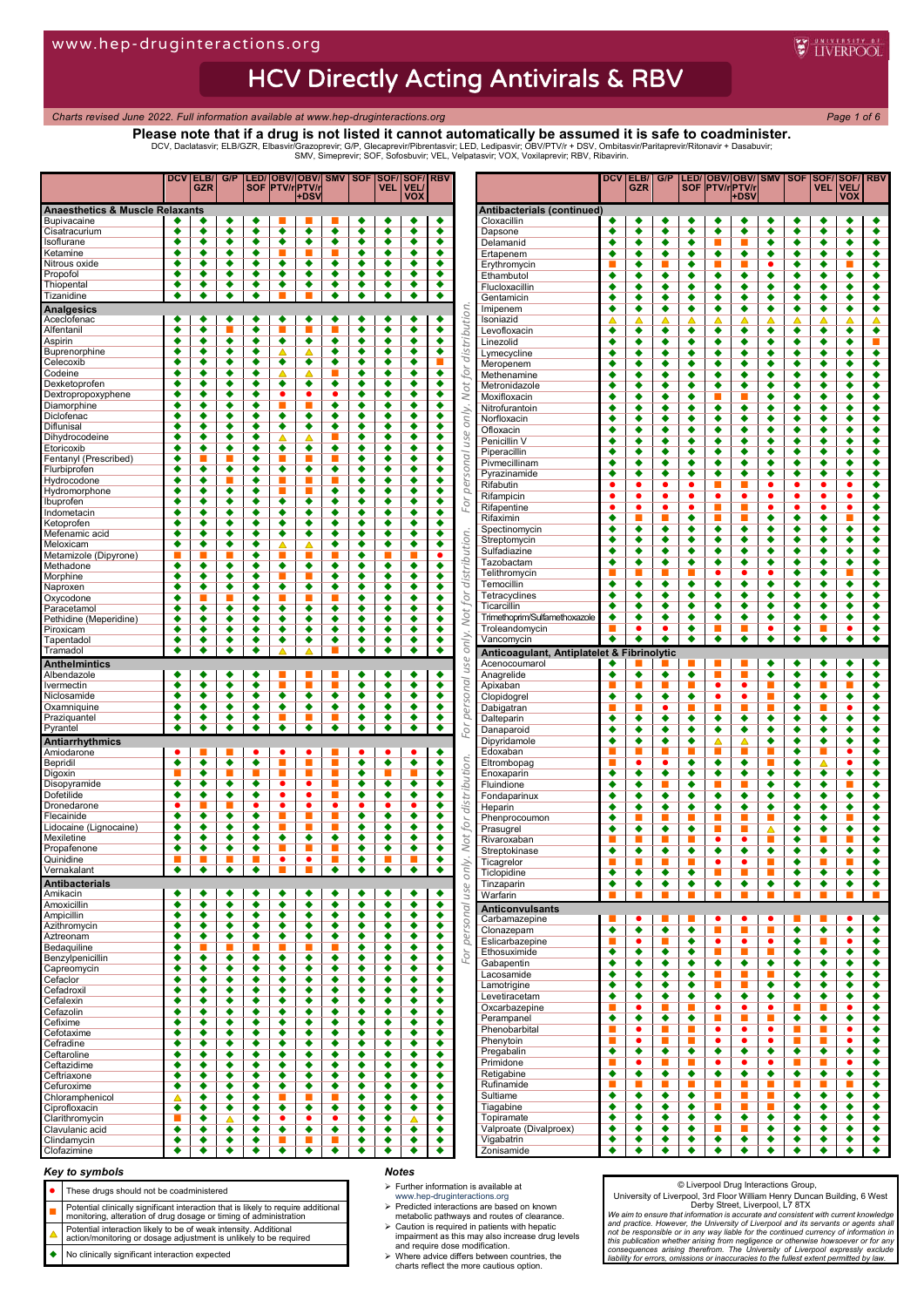# **HCV Directly Acting Antivirals & RBV**

*Charts revised June 2022. Full information available at www.hep-druginteractions.org Page 1 of 6*

**WEINERPOOL** 

**Please note that if a drug is not listed it cannot automatically be assumed it is safe to coadminister.**

DCV, Daclatasvir; ELB/GZR, Elbasvir/Grazoprevir; G/P, Glecaprevir/Pibrentasvir; LED, Ledipasvir; OBV/PTV/r + DSV, Ombitasvir/Paritaprevir/Ritonavir + Dasabuvir;<br>SMV, Simeprevir; SOF, Sofosbuvir; VEL, Velpatasvir; VOX, Vox

|                                            | DCV                       | ELB/<br><b>GZR</b>   | G/P                       |                           | <b>SOF IPTV/rIPTV/r</b>                 | <b>LED/ OBV/ OBV/ SMV </b> |                           | <b>SOF</b>                | SOF/SOF/<br>VEL.                             | <b>VEL</b> | RBV                                                                       |               |                                              | DCV                        | ELB/<br><b>GZR</b>        | G/P                       |                           |                           | LED/ OBV/ OBV/ SMV   SOF<br><b>SOF PTV/rPTV/r</b> |                             |                           | SOF/<br>VEL              | <b>VEL</b>                | <b>SOF/ RBV</b>                              |
|--------------------------------------------|---------------------------|----------------------|---------------------------|---------------------------|-----------------------------------------|----------------------------|---------------------------|---------------------------|----------------------------------------------|------------|---------------------------------------------------------------------------|---------------|----------------------------------------------|----------------------------|---------------------------|---------------------------|---------------------------|---------------------------|---------------------------------------------------|-----------------------------|---------------------------|--------------------------|---------------------------|----------------------------------------------|
|                                            |                           |                      |                           |                           |                                         | +DS\                       |                           |                           |                                              |            | <b>VOX</b>                                                                |               |                                              |                            |                           |                           |                           |                           | +DSV                                              |                             |                           |                          | <b>VOX</b>                |                                              |
| <b>Anaesthetics &amp; Muscle Relaxants</b> |                           |                      |                           |                           | П                                       | ▬                          | п                         |                           |                                              |            |                                                                           |               | Antibacterials (continued)                   |                            |                           |                           | ٠                         |                           | ٠                                                 |                             |                           | ٠                        |                           |                                              |
| <b>Bupivacaine</b><br>Cisatracurium        | ٠<br>٠                    | ٠<br>٠               | ٠<br>٠                    | ٠<br>٠                    | ٠                                       | ٠                          | ٠                         | ٠<br>٠                    | ٠<br>٠                                       |            | ٠<br>٠<br>٠<br>٠                                                          |               | Cloxacillin<br>Dapsone                       | ٠<br>٠                     | ٠<br>٠                    | ٠<br>٠                    | ٠                         | ٠<br>٠                    | ٠                                                 | ٠<br>٠                      | ٠<br>٠                    | ٠                        | ٠<br>٠                    | ٠                                            |
| Isoflurane                                 | $\overline{\bullet}$      | $\overline{\bullet}$ | $\overline{\bullet}$      | $\overline{\bullet}$      | $\overline{\bullet}$                    | $\overline{\bullet}$       | $\overline{\bullet}$      | $\overline{\bullet}$      | $\overline{\bullet}$                         |            | $\overline{\bullet}$<br>$\overline{\bullet}$                              |               | Delamanid                                    | ٠                          | ٠                         | ٠                         | ٠                         | ■                         | п                                                 | ٠                           | ٠                         | ٠                        | ٠                         |                                              |
| Ketamine                                   | ٠                         | ٠                    | ٠                         | ٠                         | π                                       |                            | ■                         | ٠                         | ٠                                            |            | ٠<br>٠                                                                    |               | Ertapenem                                    | ٠                          | ٠                         | ٠                         | ٠                         | ٠                         | ٠                                                 | ٠                           | ٠                         | ٠                        | ٠                         | ٠                                            |
| Nitrous oxide<br>Propofol                  | ٠<br>٠                    | ٠<br>٠               | ٠<br>٠                    | ٠<br>٠                    | ٠<br>٠                                  | ٠<br>٠                     | ٠<br>٠                    | ٠<br>٠                    | ٠<br>٠                                       |            | ٠<br>٠<br>٠<br>٠                                                          |               | Erythromycin                                 |                            | ٠                         | п                         | ٠                         | π                         | L.                                                |                             | ٠                         | ٠                        |                           | ٠                                            |
| Thiopental                                 | ٠                         | ٠                    | ٠                         | ٠                         | ٠                                       | ٠                          | ٠                         | ٠                         | ٠                                            |            | ٠<br>٠                                                                    |               | Ethambutol<br>Flucloxacillin                 | ٠<br>٠                     | ٠<br>٠                    | ٠<br>٠                    | ٠<br>٠                    | ٠<br>٠                    | ٠<br>٠                                            | ٠<br>٠                      | ٠<br>٠                    | ٠<br>٠                   | ٠<br>٠                    | ٠<br>٠                                       |
| Tizanidine                                 | ٠                         | ٠                    | $\overline{\bullet}$      | ٠                         |                                         |                            | $\overline{\bullet}$      | ٠                         | ٠                                            |            | $\overline{\bullet}$<br>$\overline{\bullet}$                              |               | Gentamicin                                   | ٠                          | ٠                         | ٠                         | ٠                         | ٠                         | ٠                                                 | ٠                           | ٠                         | ٠                        | ٠                         | ٠                                            |
| <b>Analgesics</b>                          |                           |                      |                           |                           |                                         |                            |                           |                           |                                              |            |                                                                           |               | Imipenem                                     | ٠                          | ٠                         | ٠                         | ٠                         | ٠                         | ٠                                                 | ٠                           | ٠                         | ٠                        | ٠                         | ٠                                            |
| Aceclofenac                                | ٠                         | ٠                    | ٠                         | ٠                         | ٠                                       | ٠                          | ٠                         | ٠                         | ٠                                            |            | ٠<br>٠                                                                    | distribution  | Isoniazid                                    |                            | △                         |                           |                           |                           | △                                                 |                             |                           | Δ                        |                           |                                              |
| Alfentanil<br>Aspirin                      | ٠<br>٠                    | ٠<br>٠               | ٠                         | ٠<br>٠                    | т<br>٠                                  | ٠                          | ш<br>٠                    | ٠<br>٠                    | ٠<br>٠                                       |            | ٠<br>٠<br>$\overline{\bullet}$<br>٠                                       |               | Levofloxacin<br>Linezolid                    | ٠<br>٠                     | $\overline{\bullet}$<br>٠ | $\overline{\bullet}$<br>٠ | ٠<br>٠                    | ٠<br>٠                    | ٠<br>٠                                            | $\overline{\bullet}$<br>٠   | ٠<br>٠                    | ٠<br>٠                   | $\overline{\bullet}$<br>٠ | $\overline{\bullet}$                         |
| Buprenorphine                              | ٠                         | ٠                    | $\overline{\bullet}$      | $\overline{\bullet}$      |                                         |                            | ٠                         | ٠                         | $\overline{\bullet}$                         |            | $\overline{\bullet}$<br>$\overline{\bullet}$                              |               | Lymecycline                                  | ٠                          | ٠                         | ٠                         | ٠                         | ٠                         | ٠                                                 | ٠                           | ٠                         | ٠                        | ٠                         | ٠                                            |
| Celecoxib                                  | ٠                         | ٠                    | ٠                         | ٠                         | ٠                                       | ٠                          | ٠                         | ٠                         | ٠                                            |            | ٠                                                                         |               | Meropenem                                    | ٠                          | $\overline{\bullet}$      | $\overline{\bullet}$      | ٠                         | $\overline{\bullet}$      | ٠                                                 | $\overline{\bullet}$        | ٠                         | ٠                        | $\overline{\bullet}$      | $\overline{\bullet}$                         |
| Codeine                                    | $\overline{\bullet}$      | ٠                    | $\overline{\bullet}$      | ٠                         | ▵                                       | Δ                          | ■                         | ٠                         | $\overline{\bullet}$                         |            | $\overline{\bullet}$<br>$\overline{\bullet}$                              | for           | Methenamine                                  | ٠                          | ٠                         | ٠                         | ٠                         | ٠                         | ٠                                                 | ٠                           | ٠                         | ٠                        | ٠                         | ٠                                            |
| Dexketoprofen<br>Dextropropoxyphene        | ٠<br>٠                    | ٠<br>٠               | ٠<br>٠                    | ٠<br>٠                    | ٠<br>٠                                  | ٠<br>٠                     | ٠<br>٠                    | ٠<br>٠                    | ٠<br>٠                                       |            | ٠<br>٠<br>٠<br>٠                                                          | Not           | Metronidazole                                | ٠                          | ٠                         | ٠                         | ٠                         | ٠                         | ٠                                                 | ٠                           | ٠                         | ٠                        | ٠                         | ٠                                            |
| Diamorphine                                | ٠                         | ٠                    | ٠                         | ٠                         | $\mathcal{L}^{\text{max}}_{\text{max}}$ |                            | ٠                         | ٠                         | ٠                                            |            | $\overline{\bullet}$<br>٠                                                 |               | Moxifloxacin<br>Nitrofurantoin               | ٠<br>٠                     | ٠<br>٠                    | ٠<br>٠                    | ٠<br>٠                    | г<br>٠                    | ٠                                                 | ٠<br>٠                      | ٠<br>٠                    | ٠<br>٠                   | ٠<br>٠                    | ٠<br>٠                                       |
| Diclofenac                                 | ٠                         | ٠                    | ٠                         | ٠                         | ٠                                       | ٠                          | ٠                         | ٠                         | ٠                                            |            | ٠<br>٠                                                                    | only.         | Norfloxacin                                  | ٠                          | ٠                         | ٠                         | ٠                         | ٠                         | ٠                                                 | ٠                           | ٠                         | ٠                        | ٠                         | ٠                                            |
| Diflunisal                                 | ٠                         | ٠                    | ٠                         | ٠                         | ٠                                       | ٠                          | ٠                         | ٠                         | $\overline{\bullet}$                         |            | $\overline{\bullet}$<br>٠                                                 |               | Ofloxacin                                    | ٠                          | ٠                         | ٠                         | ٠                         | ٠                         | ٠                                                 | ٠                           | ٠                         | ٠                        | ٠                         | ٠                                            |
| Dihydrocodeine<br>Etoricoxib               | ٠<br>٠                    | ٠<br>٠               | ٠<br>٠                    | ٠<br>٠                    | △<br>٠                                  | Δ<br>$\overline{\bullet}$  | ■<br>٠                    | ٠<br>٠                    | $\overline{\bullet}$<br>٠                    |            | $\overline{\bullet}$<br>٠<br>$\overline{\bullet}$<br>٠                    | use           | Penicillin V                                 | ٠                          | ٠                         | ٠                         | ٠                         | ٠                         | ٠                                                 | ٠                           | ٠                         | ٠                        | ٠                         | ٠                                            |
| Fentanyl (Prescribed)                      | ٠                         |                      |                           | ٠                         |                                         |                            | ■                         | ٠                         | $\overline{\bullet}$                         |            | $\overline{\bullet}$<br>٠                                                 |               | Piperacillin                                 | ٠                          | ٠                         | ٠                         | ٠                         | ٠                         | ٠                                                 | ٠                           | ٠                         | ٠                        | ٠                         | ٠                                            |
| Flurbiprofen                               | ٠                         | ٠                    | ٠                         | ٠                         | ٠                                       | ٠                          | ٠                         | ٠                         | ٠                                            |            | ٠<br>٠                                                                    | onal          | Pivmecillinam<br>Pyrazinamide                | ٠<br>٠                     | ٠<br>٠                    | ٠<br>٠                    | ٠<br>٠                    | ٠<br>٠                    | ٠<br>٠                                            | ٠<br>٠                      | ٠<br>٠                    | ٠<br>٠                   | ٠<br>٠                    | ٠<br>٠                                       |
| Hydrocodone                                | ٠                         | ٠                    |                           | ٠                         | L.                                      |                            | ш                         | ٠                         | ٠                                            |            | $\overline{\bullet}$<br>٠                                                 | per           | Rifabutin                                    | ٠                          | ٠                         | ٠                         | ٠                         | П                         | п                                                 | ٠                           | ٠                         | $\bullet$                | ٠                         | ٠                                            |
| Hydromorphone                              | ٠                         | ٠                    | ٠                         | ٠                         | г                                       |                            | ٠                         | ٠                         | ٠                                            |            | ٠<br>٠                                                                    |               | Rifampicin                                   | ٠                          | ٠                         | ٠                         | ٠                         | ٠                         | ٠                                                 | ٠                           | ٠                         | ٠                        | ٠                         | ٠                                            |
| Ibuprofen<br>Indometacin                   | ٠<br>$\overline{\bullet}$ | ٠<br>٠               | ٠<br>$\overline{\bullet}$ | ٠<br>٠                    | ٠<br>٠                                  | ٠<br>$\overline{\bullet}$  | ٠<br>٠                    | ٠<br>٠                    | ٠<br>$\overline{\bullet}$                    |            | ٠<br>٠<br>$\overline{\bullet}$<br>$\overline{\bullet}$                    | For           | Rifapentine                                  | ٠                          | ٠                         | ٠                         | ٠                         | ■                         | L.                                                | ٠                           | $\bullet$                 | ٠                        | ٠                         | ٠                                            |
| Ketoprofen                                 | ٠                         | ٠                    | ٠                         | ٠                         | ٠                                       | ٠                          | ٠                         | ٠                         | ٠                                            |            | ٠<br>٠                                                                    |               | Rifaximin                                    | ٠                          | г                         |                           | ٠                         | г                         |                                                   | ٠                           | ٠                         | ٠                        |                           | ٠                                            |
| Mefenamic acid                             | ٠                         | ٠                    | $\overline{\bullet}$      | ٠                         | ٠                                       | ٠                          | ٠                         | ٠                         | ٠                                            |            | $\overline{\bullet}$<br>٠                                                 |               | Spectinomycin                                | $\overline{\bullet}$<br>٠  | $\overline{\bullet}$<br>٠ | $\overline{\bullet}$<br>٠ | ٠<br>٠                    | $\overline{\bullet}$<br>٠ | ٠<br>٠                                            | $\overline{\bullet}$<br>٠   | ٠<br>٠                    | ٠<br>٠                   | $\overline{\bullet}$<br>٠ | ٠<br>٠                                       |
| Meloxicam                                  | ٠                         | ٠                    | ٠                         | ٠                         | △                                       | Δ                          | ٠                         | ٠                         | ٠                                            |            | ٠<br>٠                                                                    | distribution. | Streptomycin<br>Sulfadiazine                 | ٠                          | ٠                         | ٠                         | ٠                         | ٠                         | ٠                                                 | ٠                           | ٠                         | ٠                        | ٠                         | ٠                                            |
| Metamizole (Dipyrone)<br>Methadone         | $\overline{\bullet}$      | ٠                    | $\overline{\bullet}$      | ٠<br>٠                    | L.<br>$\overline{\bullet}$              | $\overline{\bullet}$       | $\overline{\bullet}$      | ٠<br>٠                    | $\overline{\bullet}$                         |            | $\bullet$<br>$\overline{\bullet}$<br>$\overline{\bullet}$                 |               | Tazobactam                                   | ٠                          | ٠                         | ٠                         | ٠                         | ٠                         | ٠                                                 | ٠                           | ٠                         | ٠                        | ٠                         | ٠                                            |
| Morphine                                   | ٠                         | ٠                    | ٠                         | ٠                         | г                                       |                            | ٠                         | ٠                         | ٠                                            |            | ٠<br>٠                                                                    |               | Telithromycin                                |                            |                           |                           |                           |                           | ٠                                                 | ٠                           | ٠                         | ٠                        |                           | ٠                                            |
| Naproxen                                   | $\overline{\bullet}$      | ٠                    | $\overline{\bullet}$      | $\overline{\bullet}$      | ٠                                       | $\overline{\bullet}$       | ٠                         | ٠                         | $\overline{\bullet}$                         |            | $\overline{\bullet}$<br>$\overline{\bullet}$                              |               | Temocillin                                   | ٠                          | ٠                         | ٠                         | ٠                         | ٠                         | ٠                                                 | ٠                           | ٠                         | ٠                        | ٠                         | ٠                                            |
| Oxycodone                                  | ٠                         |                      |                           | ٠                         |                                         |                            |                           | ٠                         | ٠                                            |            | ٠<br>٠                                                                    | for           | Tetracyclines                                | ٠                          | ٠                         | ٠                         | ٠                         | ٠                         | ٠                                                 | ٠                           | ٠                         | ٠                        | ٠                         | ٠                                            |
| Paracetamo                                 | ◀<br>٠                    | ٠                    | ٠<br>$\overline{\bullet}$ | ٠<br>$\overline{\bullet}$ | ♦<br>٠                                  | ٠<br>٠                     | ٠<br>٠                    | ٠<br>٠                    | ٠<br>$\overline{\bullet}$                    |            | ٠<br>٠<br>$\overline{\bullet}$<br>٠                                       | Not           | Ticarcillin<br>Trimethoprim/Sulfamethoxazole | ٠<br>٠                     | ٠<br>٠                    | ٠<br>٠                    | ٠<br>٠                    | ٠<br>٠                    | ٠<br>٠                                            | ٠<br>٠                      | ٠<br>٠                    | ٠<br>٠                   | ٠<br>٠                    | ٠<br>٠                                       |
| Pethidine (Meperidine)<br>Piroxicam        | ٠                         | ٠                    | ٠                         | ٠                         | ٠                                       | ٠                          | ٠                         | ٠                         | ٠                                            |            | ٠<br>٠                                                                    |               | Troleandomycin                               |                            | ٠                         | ٠                         | ٠                         | π                         |                                                   | ٠                           | ٠                         | ■                        | ٠                         | ٠                                            |
| Tapentadol                                 | ٠                         | ٠                    | ٠                         | ٠                         | ٠                                       | ٠                          | ٠                         | ٠                         | ٠                                            |            | ٠<br>٠                                                                    | only.         | Vancomycin                                   | ٠                          | ٠                         | ٠                         | ٠                         | ٠                         | ٠                                                 | ٠                           | ٠                         | ٠                        | ٠                         | ٠                                            |
| Tramadol                                   | ٠                         | ٠                    | ٠                         | ٠                         |                                         | Δ                          | п                         | ٠                         | ٠                                            |            | $\overline{\bullet}$<br>٠                                                 |               | Anticoagulant, Antiplatelet & Fibrinolytic   |                            |                           |                           |                           |                           |                                                   |                             |                           |                          |                           |                                              |
| <b>Anthelmintics</b>                       |                           |                      |                           |                           |                                         |                            |                           |                           |                                              |            |                                                                           | use           | Acenocoumarol                                |                            |                           |                           | ш                         | ш                         | ш                                                 | ٠                           | ٠                         | ٠                        | ٠                         |                                              |
| Albendazole                                |                           |                      |                           |                           |                                         |                            |                           |                           |                                              |            |                                                                           |               |                                              |                            |                           |                           |                           |                           |                                                   |                             |                           | ٠                        | ٠                         | ٠                                            |
|                                            | ٠                         | ٠                    | ٠                         | ٠                         | π                                       |                            | ▬                         | ٠                         | ٠                                            |            | ٠<br>٠                                                                    |               | Anagrelide                                   | ٠                          | ٠                         | ٠                         | $\overline{\bullet}$      | e en la posta             |                                                   | ٠                           | ٠                         |                          |                           |                                              |
| Ivermectin                                 | ٠                         | ٠                    | ٠                         | ٠                         | г                                       |                            | ■                         | ٠                         | ٠                                            |            | ٠<br>٠                                                                    |               | Apixaban                                     | ■                          | п                         | п                         | ▬                         | ٠                         | ٠                                                 | п                           | ٠                         | п                        |                           | ٠                                            |
| Niclosamide<br>Oxamniquine                 | ٠<br>٠                    | ٠<br>٠               | $\overline{\bullet}$<br>٠ | $\overline{\bullet}$<br>٠ | $\overline{\bullet}$<br>٠               | $\overline{\bullet}$<br>٠  | $\overline{\bullet}$<br>٠ | ٠<br>٠                    | $\overline{\bullet}$<br>٠                    |            | $\overline{\bullet}$<br>$\overline{\bullet}$<br>٠<br>٠                    |               | Clopidogrel                                  | ٠                          | ٠<br>ш                    | ٠<br>٠                    | ٠                         | ٠<br>■                    | ٠<br>ш                                            | п<br>ш                      | ٠<br>٠                    | ٠                        | ٠<br>٠                    | ٠<br>٠                                       |
| Praziguantel                               | $\overline{\bullet}$      | ٠                    | $\overline{\bullet}$      | $\overline{\bullet}$      | ш                                       | ■                          | п                         | ٠                         | $\overline{\bullet}$                         |            | $\overline{\bullet}$<br>$\overline{\bullet}$                              | personal      | Dabigatran<br>Dalteparin                     | ٠                          | ٠                         | ٠                         | ٠                         | ٠                         | ٠                                                 | ٠                           | ٠                         | $\blacksquare$<br>٠      | ٠                         | ٠                                            |
| Pyrantel                                   | $\overline{\bullet}$      | ٠                    | $\overline{\bullet}$      | ٠                         | ٠                                       | ٠                          | ٠                         | ٠                         | ٠                                            |            | $\overline{\bullet}$<br>$\overline{\bullet}$                              | Ρoγ           | Danaparoid                                   | ٠                          | ٠                         | ٠                         | ٠                         | ٠                         | ٠                                                 | ٠                           | ٠                         | ٠                        | ٠                         | ٠                                            |
| Antiarrhythmics                            |                           |                      |                           |                           |                                         |                            |                           |                           |                                              |            |                                                                           |               | Dipyridamole                                 | ٠                          | ٠                         | ٠                         | ٠                         | ᅀ                         | ◭                                                 | ٠                           | ٠                         | ٠                        | ٠                         | ٠                                            |
| Amiodarone                                 | ٠                         | ■                    |                           | $\bullet$                 | ٠                                       | $\bullet$                  | ▬                         | $\bullet$                 | ٠                                            |            | ٠<br>٠                                                                    |               | Edoxaban                                     |                            | П                         |                           |                           | ■                         |                                                   |                             | ٠                         | п                        | ٠                         | ٠                                            |
| Bepridil<br>Digoxin                        | ٠                         | ٠<br>٠               | ٠<br>ш                    | ٠<br>ш                    | π<br>н                                  |                            | п<br>п                    | ٠<br>٠                    | ٠                                            |            | ٠<br>٠<br>$\overline{\bullet}$<br>п                                       |               | Eltrombopag                                  | ٠                          | ٠<br>٠                    | ٠<br>٠                    | ٠<br>٠                    | ٠<br>٠                    | ٠<br>٠                                            | ٠                           | ٠<br>٠                    | Δ<br>٠                   | $\bullet$<br>٠            | ٠<br>٠                                       |
| Disopyramide                               | ٠                         | ٠                    | ٠                         | ٠                         | ٠                                       | $\bullet$                  | п                         | ٠                         | ٠                                            |            | ٠<br>٠                                                                    |               | Enoxaparin<br>Fluindione                     | ٠                          | ٠                         | п                         | ٠                         | г                         | н                                                 | ٠                           | ٠                         | ٠                        |                           | ٠                                            |
| Dofetilide                                 | ٠                         | ٠                    | ٠                         | ٠                         | ٠                                       | ٠                          |                           | ٠                         | ٠                                            |            | ٠<br>٠                                                                    |               | Fondaparinux                                 | ٠                          | ٠                         | ٠                         | ٠                         | ٠                         | ٠                                                 | ٠                           | ٠                         | ٠                        | ٠                         | ٠                                            |
| Dronedarone                                | ٠                         |                      |                           |                           | ٠                                       | ٠<br>г                     | $\bullet$<br>▄            |                           | ٠                                            |            | ٠<br>٠                                                                    | distribution  | Heparin                                      | ٠                          | ٠                         | ٠                         | ٠                         | ٠                         | ٠                                                 | ٠                           | ٠                         | ٠                        | ٠                         | ٠                                            |
| Flecainide<br>Lidocaine (Lignocaine)       | ٠<br>٠                    | ٠<br>٠               | ٠<br>٠                    | ٠<br>٠                    | π<br>п                                  | п                          | п                         | ٠<br>٠                    | ٠<br>٠                                       |            | ٠<br>٠<br>$\overline{\bullet}$<br>٠                                       | for           | Phenprocoumon                                | ٠                          |                           |                           |                           | П<br>ш                    | ш                                                 |                             | ٠                         | ٠                        |                           | ٠<br>$\overline{\bullet}$                    |
| Mexiletine                                 | ٠                         | ٠                    | ٠                         | ٠                         | ٠                                       | ٠                          | ٠                         | ٠                         | ٠                                            |            | ٠<br>٠                                                                    |               | Prasugrel<br>Rivaroxaban                     | ٠<br>г                     | $\overline{\bullet}$<br>п | $\overline{\bullet}$<br>П | $\overline{\bullet}$<br>п | ٠                         | ٠                                                 | Δ<br>п                      | ◆<br>٠                    | ٠<br>■                   | $\overline{\bullet}$<br>г | ٠                                            |
| Propafenone                                | $\overline{\bullet}$      | ٠                    | ٠                         | ٠                         | п                                       | п                          | ▅                         | ٠                         | ٠                                            |            | $\overline{\bullet}$<br>٠                                                 | Not           | Streptokinase                                | ٠                          | ٠                         | ٠                         | ٠                         | ٠                         | ٠                                                 | ٠                           | ٠                         | ٠                        | ٠                         | ٠                                            |
| Quinidine                                  | п                         |                      |                           |                           | ٠                                       | $\bullet$                  | п                         | ٠                         |                                              |            | ٠                                                                         |               | Ticagrelor                                   |                            |                           |                           |                           | ٠                         |                                                   |                             | ٠                         |                          |                           |                                              |
| Vernakalant                                | ۰                         | ٠                    | ٠                         | ٠                         | u.                                      | <b>I</b>                   | ٠                         | ۰                         | ۰                                            |            | $\bullet$<br>۰                                                            | ino           | Ticlopidine                                  | ◆                          | $\overline{\bullet}$      | $\overline{\bullet}$      | $\overline{\bullet}$      |                           |                                                   |                             | $\overline{\bullet}$      | $\overline{\bullet}$     | ٠                         | ٠                                            |
| <b>Antibacterials</b>                      | ٠                         | ٠                    | ٠                         |                           | ٠                                       |                            |                           | ٠                         | ٠                                            |            |                                                                           |               | Tinzaparin                                   | ۰<br>■                     | ٠                         | ٠                         | ٠                         | ۰                         | ٠<br>п                                            | ٠                           | ٠                         | ٠                        | ٠                         | ٠                                            |
| Amikacin<br>Amoxicillin                    | $\overline{\bullet}$      | ٠                    | $\overline{\bullet}$      | ٠<br>٠                    | ٠                                       | ٠<br>$\overline{\bullet}$  | ۰<br>٠                    | ٠                         | $\overline{\bullet}$                         |            | ٠<br>٠<br>$\overline{\bullet}$<br>$\overline{\bullet}$                    |               | Warfarin                                     |                            | <b>COL</b>                | п                         | <b>COL</b>                | <b>COL</b>                |                                                   | <b>COL</b>                  | ш                         | <b>COL</b>               | п                         | п                                            |
| <b>Ampicillin</b>                          | ٠                         | ٠                    | $\overline{\bullet}$      | ٠                         | ٠                                       | ٠                          | ٠                         | ٠                         | ٠                                            |            | $\overline{\bullet}$<br>٠                                                 |               | <b>Anticonvulsants</b><br>Carbamazepine      | п                          | ٠                         | m.                        | ш                         | ٠                         | ٠                                                 | ٠                           | п                         | п                        | ٠                         | ٠                                            |
| Azithromycin                               | $\overline{\bullet}$      | ٠                    | $\overline{\bullet}$      | ٠                         | ٠                                       | $\overline{\bullet}$       | ٠                         | ٠                         | $\overline{\bullet}$                         |            | $\overline{\bullet}$<br>$\overline{\bullet}$                              |               | Clonazepam                                   | ٠                          | ٠                         | ٠                         | ٠                         | <b>I</b>                  | $\blacksquare$                                    | $\mathcal{L}_{\mathcal{A}}$ | ٠                         | ٠                        | ٠                         | ٠                                            |
| Aztreonam                                  | $\overline{\bullet}$      | ٠                    | $\overline{\bullet}$      | ٠                         | ٠<br>г                                  | $\overline{\bullet}$       | ٠                         | ٠                         | $\overline{\bullet}$                         |            | $\overline{\bullet}$<br>$\overline{\bullet}$                              | personal use  | Eslicarbazepine                              | п                          | $\bullet$                 | ×                         | $\overline{\bullet}$      | ٠                         | ۰                                                 | ٠                           | $\overline{\bullet}$      | $\overline{\phantom{a}}$ | ٠                         | ٠                                            |
| Bedaquiline<br>Benzylpenicillin            | $\overline{\bullet}$<br>٠ | н<br>٠               | п<br>$\overline{\bullet}$ | п<br>٠                    | ٠                                       | ٠<br>$\overline{\bullet}$  | п<br>٠                    | $\overline{\bullet}$<br>٠ | $\overline{\bullet}$<br>$\overline{\bullet}$ |            | $\overline{\bullet}$<br>$\overline{\bullet}$<br>$\overline{\bullet}$<br>٠ |               | Ethosuximide                                 | $\overline{\bullet}$       | $\overline{\bullet}$      | $\overline{\bullet}$      | $\overline{\bullet}$      | $\blacksquare$            | $\mathcal{L}_{\mathcal{A}}$                       | ×                           | $\overline{\bullet}$      | ٠                        | $\overline{\bullet}$      | $\overline{\bullet}$                         |
| Capreomycin                                | $\overline{\bullet}$      | ٠                    | ٠                         | ٠                         | ٠                                       | ٠                          | ٠                         | ٠                         | ٠                                            |            | $\overline{\bullet}$<br>٠                                                 | Εòγ           | Gabapentin                                   | ٠                          | ٠                         | ٠                         | ٠                         | ٠                         | ٠                                                 | ٠                           | ٠                         | ٠                        | ٠                         | ٠                                            |
| Cefaclor                                   | ٠                         | ٠                    | $\overline{\bullet}$      | ٠                         | ٠                                       | $\overline{\bullet}$       | ٠                         | ٠                         | ٠                                            |            | $\overline{\bullet}$<br>$\overline{\bullet}$                              |               | Lacosamide                                   | ٠<br>$\overline{\bullet}$  | ۰<br>$\overline{\bullet}$ | ٠<br>$\overline{\bullet}$ | ٠<br>$\overline{\bullet}$ | П<br>п                    | г<br>П                                            | п<br>$\overline{\bullet}$   | ٠<br>$\overline{\bullet}$ | ٠<br>٠                   | ٠<br>$\overline{\bullet}$ | ۰<br>$\overline{\bullet}$                    |
| Cefadroxil                                 | ٠                         | ٠                    | ٠                         | ٠                         | ٠                                       | ٠                          | ٠                         | ٠                         | ٠                                            |            | ٠<br>٠                                                                    |               | Lamotrigine<br>Levetiracetam                 | ٠                          | ٠                         | ٠                         | ٠                         | ۰                         | ۰                                                 | ٠                           | ٠                         | ٠                        | ٠                         | ٠                                            |
| Cefalexin                                  | ٠<br>٠                    | ٠                    | ٠                         | ٠<br>٠                    | ٠<br>٠                                  | ٠                          | ٠<br>٠                    | ٠<br>٠                    | ٠                                            |            | ٠<br>٠                                                                    |               | Oxcarbazepine                                | п                          | ٠                         | ×                         | П                         | ٠                         | ٠                                                 | ٠                           | п                         | $\mathbb{R}^n$           | ٠                         | ٠                                            |
| Cefazolin<br>Cefixime                      | ٠                         | ٠<br>٠               | ٠<br>٠                    | ٠                         | ٠                                       | ٠<br>٠                     | ٠                         | ٠                         | ٠<br>٠                                       |            | $\overline{\bullet}$<br>$\overline{\bullet}$<br>٠<br>٠                    |               | Perampanel                                   | ٠                          | $\overline{\bullet}$      | ٠                         | ٠                         | П                         | $\mathcal{L}_{\mathcal{A}}$                       | ×                           | ٠                         | ٠                        | ٠                         | ٠                                            |
| Cefotaxime                                 | $\overline{\bullet}$      | ٠                    | $\overline{\bullet}$      | ٠                         | ٠                                       | $\overline{\bullet}$       | ٠                         | ٠                         | $\overline{\bullet}$                         |            | $\overline{\bullet}$<br>$\overline{\bullet}$                              |               | Phenobarbital                                | П                          | ٠                         | п                         | п                         | ٠                         | ٠                                                 | ٠                           | ш                         | п                        | ٠                         | ٠                                            |
| Cefradine                                  | $\overline{\bullet}$      | ٠                    | $\overline{\bullet}$      | $\overline{\bullet}$      | ٠                                       | $\overline{\bullet}$       | $\overline{\bullet}$      | ٠                         | $\overline{\bullet}$                         |            | $\overline{\bullet}$<br>$\overline{\bullet}$                              |               | Phenytoin                                    | П                          | $\bullet$                 | п                         | п                         | ٠                         | ٠                                                 | $\bullet$                   | П                         | $\blacksquare$           | $\bullet$                 | ٠                                            |
| Ceftaroline                                | $\overline{\bullet}$      | ٠                    | $\overline{\bullet}$      | $\overline{\bullet}$      | $\overline{\bullet}$                    | $\overline{\bullet}$       | $\overline{\bullet}$      | ٠                         | $\overline{\bullet}$                         |            | $\overline{\bullet}$<br>$\overline{\bullet}$                              |               | Pregabalin<br>Primidone                      | ٠<br>■                     | ٠<br>٠                    | ٠<br>×                    | ٠<br>п                    | ٠<br>٠                    | ٠<br>٠                                            | ٠<br>٠                      | ٠<br>п                    | ٠<br>п                   | ٠<br>٠                    | ٠<br>۰                                       |
| Ceftazidime                                | ٠<br>٠                    | ٠                    | ٠                         | ٠<br>٠                    | ٠<br>٠                                  | ٠                          | ٠<br>٠                    | ٠<br>٠                    | ٠                                            |            | ٠<br>٠                                                                    |               | Retigabine                                   | ٠                          | ٠                         | ٠                         | ٠                         | ٠                         | ٠                                                 | ٠                           | ٠                         | ٠                        | ٠                         | ٠                                            |
| Ceftriaxone<br>Cefuroxime                  | ٠                         | ٠<br>٠               | ٠<br>$\overline{\bullet}$ | ٠                         | ٠                                       | ٠<br>٠                     | ٠                         | ٠                         | ٠<br>٠                                       |            | ٠<br>٠<br>$\overline{\bullet}$<br>$\overline{\bullet}$                    |               | Rufinamide                                   | $\mathcal{L}(\mathcal{L})$ | п                         | п                         | ш                         | П                         | ш                                                 | п                           | п                         | $\mathbb{R}^n$           |                           | ٠                                            |
| Chloramphenicol                            | ▵                         | ٠                    | ٠                         | ٠                         | П                                       | ■                          | $\mathbb{R}^n$            | ٠                         | ٠                                            |            | ٠<br>٠                                                                    |               | Sultiame                                     | ٠                          | ٠                         | ٠                         | ٠                         | п                         | п                                                 | ×                           | ٠                         | ٠                        | ٠                         | ٠                                            |
| Ciprofloxacin                              | $\overline{\bullet}$      | $\overline{\bullet}$ | $\overline{\bullet}$      | $\overline{\bullet}$      | $\overline{\bullet}$                    | $\overline{\bullet}$       | $\overline{\bullet}$      | ٠                         | $\overline{\bullet}$                         |            | $\overline{\bullet}$<br>$\overline{\bullet}$                              |               | Tiagabine                                    | ٠                          | ٠                         | ٠                         | ٠                         | П                         | $\mathcal{L}_{\mathcal{A}}$                       | п                           | ٠                         | ٠                        | ٠                         | ٠                                            |
| Clarithromycin                             | п                         | ٠                    | Δ                         | ٠                         | ٠                                       | ٠                          | ٠                         | ٠                         | ٠                                            |            | ٠<br>Δ                                                                    |               | Topiramate                                   | ٠                          | ٠                         | ٠                         | ٠                         | ۰                         | ۰                                                 | ٠                           | ٠                         | ٠                        | ٠                         | ٠                                            |
| Clavulanic acid<br>Clindamycin             | ٠<br>$\overline{\bullet}$ | ٠<br>٠               | ٠<br>$\overline{\bullet}$ | ٠<br>٠                    | ٠<br><b>I</b>                           | ٠<br>п                     | ٠<br>п                    | ٠<br>٠                    | ٠<br>$\overline{\bullet}$                    |            | ٠<br>٠<br>$\overline{\bullet}$<br>$\overline{\bullet}$                    |               | Valproate (Divalproex)<br>Vigabatrin         | ٠<br>٠                     | ٠<br>٠                    | ٠<br>٠                    | ٠<br>٠                    | U.<br>٠                   | п<br>٠                                            | ٠<br>٠                      | ٠<br>٠                    | ٠<br>٠                   | ٠<br>٠                    | $\overline{\bullet}$<br>$\overline{\bullet}$ |

#### *Key to symbols*

- These drugs should not be coadministered
- 
- **Potential clinically significant interaction that is likely to require additional**<br>monitoring, alteration of drug dosage or timing of administration
- Potential interaction likely to be of weak intensity. Additional
- action/monitoring or dosage adjustment is unlikely to be required No clinically significant interaction expected

### *Notes*

- $\triangleright$  Further information is available at
- www.hep-druginteractions.org Predicted interactions are based on known metabolic pathways and routes of clearance.
- Caution is required in patients with hepatic impairment as this may also increase drug levels and require dose modification.
- Where advice differs between countries, the charts reflect the more cautious option.

#### © Liverpool Drug Interactions Group,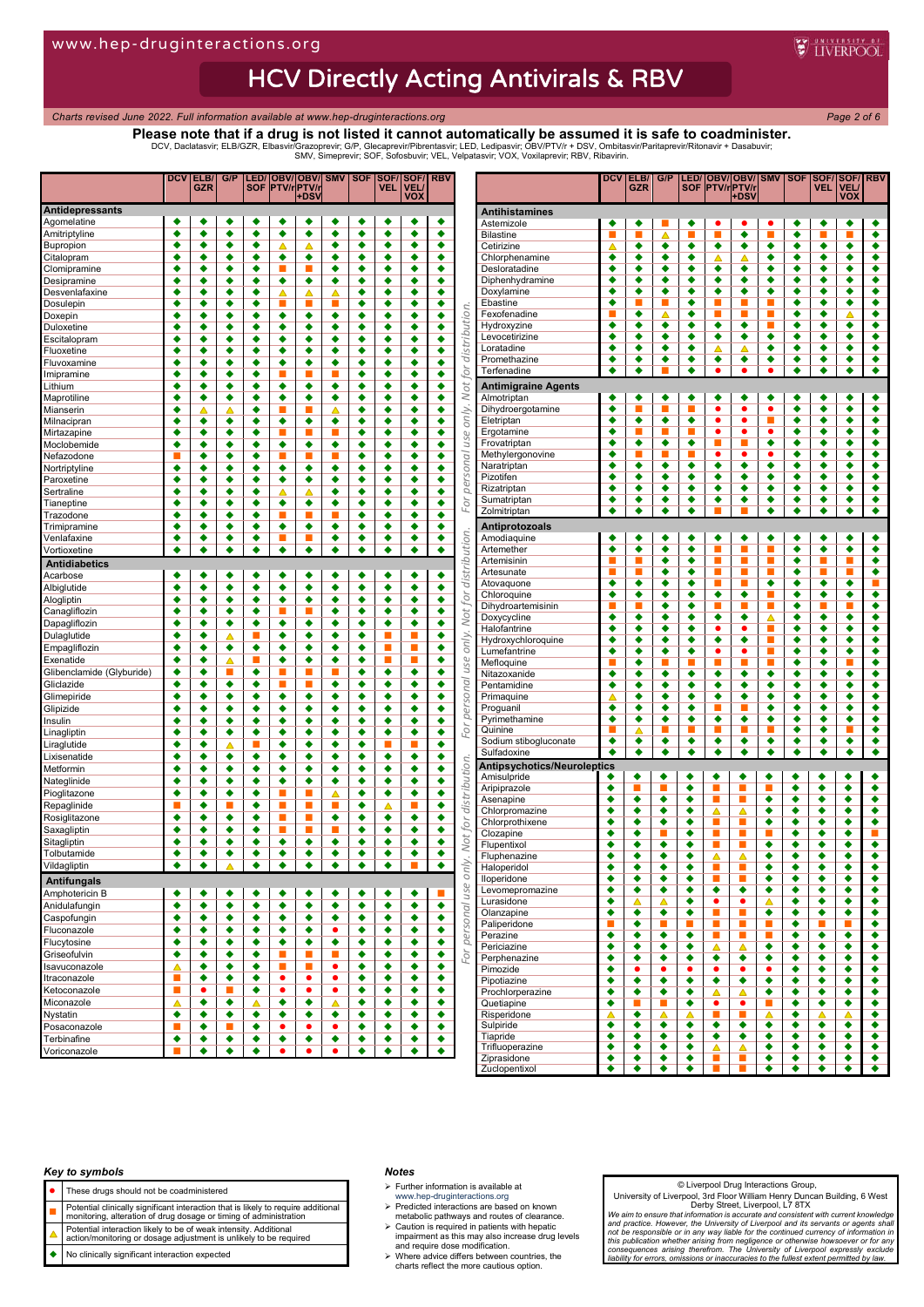## HCV Directly Acting Antivirals & RBV

*Charts revised June 2022. Full information available at www.hep-druginteractions.org Page 2 of 6*

### **Please note that if a drug is not listed it cannot automatically be assumed it is safe to coadminister.** DCV, Daclatasvir; ELB/GZR, Elbasvir/Grazoprevir; G/P, Glecaprevir/Pibrentasvir; LED, Ledipasvir; OBV/PTV/r + DSV, Ombitasvir/Paritaprevir/Ritonavir + Dasabuvir;<br>SMV, Simeprevir; SOF, Sofosbuvir; VEL, Velpatasvir; VOX, Vox

|                                       | DCV              | ELB/<br>GZR | G/P    | <b>SOF</b> | <b>PTV/rPTV/</b>            | LED/ OBV/ OBV/ SMV SOF |        |        | VEL.   | SOF/SOF/<br><b>VEL</b> | <b>RBV</b>           |               |                                    | DCV    | ELB/<br>GZR | G/P            | <b>SOF</b>     | <b>PTV/rPTV/r</b>                                                                                                                                                                                                                 | LED/ OBV/ OBV/ SMV   SOF |                |        | VEL.   | SOF/SOF/RBV<br>VEL. |                           |
|---------------------------------------|------------------|-------------|--------|------------|-----------------------------|------------------------|--------|--------|--------|------------------------|----------------------|---------------|------------------------------------|--------|-------------|----------------|----------------|-----------------------------------------------------------------------------------------------------------------------------------------------------------------------------------------------------------------------------------|--------------------------|----------------|--------|--------|---------------------|---------------------------|
|                                       |                  |             |        |            |                             | <b>DS</b>              |        |        |        | vox                    |                      |               |                                    |        |             |                |                |                                                                                                                                                                                                                                   | ⊦DSV                     |                |        |        | vox                 |                           |
| <b>Antidepressants</b><br>Agomelatine | ٠                | ٠           | ٠      | ٠          |                             | ٠                      | ٠      | ٠      | ٠      | ٠                      | ٠                    |               | <b>Antihistamines</b>              |        |             |                |                |                                                                                                                                                                                                                                   |                          |                |        |        |                     |                           |
| Amitriptyline                         | ٠                | ٠           | ٠      | ٠          | ٠                           | ٠                      | ٠      | ٠      | ٠      | ٠                      | ٠                    |               | Astemizole<br><b>Bilastine</b>     | ٠      | ٠           |                | ٠<br>■         | т                                                                                                                                                                                                                                 | ٠<br>٠                   |                | ٠<br>٠ |        | ٠                   | ٠<br>٠                    |
| Bupropion                             | ٠                | ٠           | ٠      | ٠          | Δ                           | Δ                      | ۰      | ٠      | ٠      | ٠                      | ٠                    |               | Cetirizine                         | ▵      | ٠           | ٠              | ٠              | ٠                                                                                                                                                                                                                                 | ٠                        | ٠              | ٠      | ٠      | ٠                   | ٠                         |
| Citalopram                            | ٠                | ٠           | ٠      | ٠          | ٠                           | ٠                      | ٠      | ٠      | ٠      | ٠                      | ٠                    |               | Chlorphenamine                     | ٠      | ٠           | ٠              | ٠              |                                                                                                                                                                                                                                   | Δ                        | ٠              | ٠      | ٠      | ٠                   | ٠                         |
| Clomipramine                          | ٠                | ٠           | ٠      | ٠          | п                           |                        | ۰      | ٠      | ٠      | ٠                      | ٠                    |               | Desloratadine                      | ٠      | ٠           | ٠              | ٠              | ٠                                                                                                                                                                                                                                 | ۰                        | ٠              | ٠      | ٠      | ٠                   | ٠                         |
| Desipramine                           | ٠                | ٠           | ٠      | ٠          | ٠                           | ٠                      | e      | ٠      | ٠      | ٠                      | ٠                    |               | Diphenhydramine                    | ٠      | ٠           | ٠              | ٠              | ٠                                                                                                                                                                                                                                 | ٠                        | ٠              | ٠      | ٠      | ٠                   | ٠                         |
| Desvenlafaxine                        | ð                | ٠           | ٠      | ٠          | Δ                           | △                      |        | ٠      | ٠      | ٠                      | ٠                    |               | Doxylamine<br>Ebastine             | ٠<br>٠ | ٠<br>н      | ٠              | ٠<br>٠         | ٠<br>e en la posta                                                                                                                                                                                                                | ٠                        | ٠<br>■         | ٠<br>٠ | ٠<br>٠ | ٠<br>٠              | ٠<br>٠                    |
| Dosulepin<br>Doxepin                  | ٠<br>٠           | ٠<br>٠      | ٠<br>٠ | ٠<br>٠     | г<br>٠                      | ٠                      | ٠      | ٠<br>٠ | ٠<br>٠ | ٠<br>٠                 | ٠<br>٠               | distribution. | Fexofenadine                       |        | ٠           | △              | ٠              | e de la provincia de la construcción de la construcción de la construcción de la construcción de la construcció<br>La construcción de la construcción de la construcción de la construcción de la construcción de la construcción |                          | ш              | ٠      | ٠      | ◬                   | ٠                         |
| Duloxetine                            | ٠                | ٠           | ٠      | ٠          | ٠                           | ٠                      | ٠      | ٠      | ٠      | ٠                      | ٠                    |               | Hydroxyzine                        | ٠      | ٠           | ٠              | ٠              | ٠                                                                                                                                                                                                                                 | ٠                        | П              | ٠      | ٠      | ٠                   | ٠                         |
| Escitalopram                          | ٠                | ٠           | ٠      | ٠          | ٠                           | ٠                      | ٥      | ٠      | ٠      | ٠                      | ٠                    |               | Levocetirizine                     | ٠      | ٠           | ٠              | ٠              | ٠                                                                                                                                                                                                                                 | ٠                        | ٠              | ٠      | ٠      | ٠                   | ٠                         |
| Fluoxetine                            | ٠                | ٠           | ٠      | ٠          | ٠                           | ٠                      | ٠      | ٠      | ٠      | ٠                      | ٠                    |               | Loratadine                         | ٠      | ٠           | ٠              | ٠              | Δ                                                                                                                                                                                                                                 | Δ                        | ٠              | ٠      | ٠      | ٠                   | ٠                         |
| Fluvoxamine                           | ٠                | ٠           | ٠      | ٠          | ٠                           | ٠                      | ٥      | ٠      | ٠      | ٠                      | ٠                    |               | Promethazine                       | ٠      | ٠           | ٠              | ٠              | ٠                                                                                                                                                                                                                                 | ٠                        | ٠              | ٠      | ٠      | ٠                   | ٠                         |
| Imipramine                            | ٠                | ٠           | ٠      | ٠          | г                           |                        |        | ٠      | ٠      | ٠                      | ٠                    | for           | Terfenadine                        | ٠      | ٠           |                | ٠              | ٠                                                                                                                                                                                                                                 | ٠                        | ٠              | ٠      | ٠      | ٠                   | $\overline{\bullet}$      |
| Lithium                               | ٠                | ٠           | ٠      | ٠          | ٠                           | ٠                      | ٠      | ٠      | ٠      | ٠                      | ٠                    | Not           | <b>Antimigraine Agents</b>         |        |             |                |                |                                                                                                                                                                                                                                   |                          |                |        |        |                     |                           |
| Maprotiline                           | ە                | ٠           | ٠      | ٠          | ٠                           | ٠                      | ٠      | ٠      | ٠      | ٠                      | ٠                    |               | Almotriptan                        | ٠      | ٠<br>г      | ٠              | ٠<br>п         | ٠<br>$\bullet$                                                                                                                                                                                                                    | ٠<br>٠                   | ٠<br>٠         | ٠      | ٠      | ٠                   | ٠                         |
| Mianserin<br>Milnacipran              | ٠<br>٠           | Δ<br>٠      | Δ<br>٠ | ٠<br>٠     | П<br>٠                      | п<br>٠                 | ٠      | ٠<br>٠ | ٠<br>٠ | ٠<br>٠                 | ٠<br>٠               | only.         | Dihydroergotamine<br>Eletriptan    | ٠<br>٠ | ٠           | ٠              | ٠              | ٠                                                                                                                                                                                                                                 | ٠                        | п              | ٠<br>٠ | ٠<br>٠ | ٠<br>٠              | ٠<br>٠                    |
| Mirtazapine                           | ٠                | ٠           | ٠      | ٠          | г                           | г                      |        | ٠      | ٠      | ٠                      | ٠                    |               | Ergotamine                         | ٠      | ■           |                | ▬              | ٠                                                                                                                                                                                                                                 | ٠                        | ٠              | ٠      | ٠      | ٠                   | ٠                         |
| Moclobemide                           | ▲                | ٠           | ٠      | ٠          | ٠                           | ٠                      | ٠      | ٠      | ٠      | ٠                      | ٠                    | use           | Frovatriptan                       | ٠      | ٠           | ٠              | ٠              | ■                                                                                                                                                                                                                                 | ▬                        | ٠              | ٠      | ٠      | ٠                   | ٠                         |
| Nefazodone                            |                  | ٠           | ٠      | ٠          | п                           | г                      |        | ٠      | ٠      | ٠                      | ٠                    |               | Methylergonovine                   | ٠      | п           |                | ▬              | ٠                                                                                                                                                                                                                                 | $\bullet$                | ٠              | ٠      | ٠      | ٠                   | ٠                         |
| Nortriptyline                         | ٠                | ٠           | ٠      | ٠          | ٠                           | ٠                      | ٠      | ٠      | ٠      | ٠                      | ٠                    |               | Naratriptan                        | ٠      | ٠           | ٠              | ٠              | ٠                                                                                                                                                                                                                                 | ٠                        | ٠              | ٠      | ٠      | ٠                   | ٠                         |
| Paroxetine                            | ٠                | ٠           | ٠      | ٠          | ٠                           | ٠                      | ۰      | ٠      | ٠      | ٠                      | ٠                    | personal      | Pizotifen                          | ٠      | ٠           | ٠              | ٠              | ٠                                                                                                                                                                                                                                 | ٠                        | ٠              | ٠      | ٠      | ٠                   | ٠                         |
| Sertraline                            | ە                | ٠           | ٠      | ٠          | ◭                           | Δ                      | ۰      | ٠      | ٠      | ٠                      | ٠                    |               | Rizatriptan                        | ٠<br>٠ | ٠<br>٠      | ٠<br>٠         | ٠<br>٠         | ٠<br>٠                                                                                                                                                                                                                            | ٠<br>٠                   | ٠<br>٠         | ٠<br>٠ | ٠<br>٠ | ٠<br>٠              | ٠<br>٠                    |
| Tianeptine                            | ٠                | ٠           | ٠      | ٠          | ٠                           | ٠                      | ٠      | ٠      | ٠      | ٠                      | ٠                    | For           | Sumatriptan<br>Zolmitriptan        | ٠      | ٠           | ٠              | ٠              |                                                                                                                                                                                                                                   |                          | ٠              | ٠      | ٠      | ٠                   | ٠                         |
| Trazodone                             | ð<br>٠           | ٠           | ٠      | ٠<br>٠     | п                           |                        |        | ٠      | ٠      | ٠                      | ٠                    |               |                                    |        |             |                |                |                                                                                                                                                                                                                                   |                          |                |        |        |                     |                           |
| Trimipramine<br>Venlafaxine           | ٠                | ٠<br>٠      | ٠<br>٠ | ٠          | ٠<br>$\mathbf{r}$           | ٠<br>п                 | ٠<br>٠ | ٠<br>٠ | ٠<br>٠ | ٠<br>٠                 | ٠<br>٠               |               | Antiprotozoals<br>Amodiaguine      | ٠      | ٠           | ٠              | ٠              | ٠                                                                                                                                                                                                                                 | ٠                        | ٠              | ٠      | ٠      | ٠                   | ٠                         |
| Vortioxetine                          | ٠                | ٠           | ٠      | ٠          | ٠                           | ٠                      | ٠      | ٠      | ٠      | ٠                      | ٠                    | distribution. | Artemether                         | ٠      | ٠           | ٠              | ٠              |                                                                                                                                                                                                                                   |                          |                | ٠      | ٠      | ٠                   | ٠                         |
| <b>Antidiabetics</b>                  |                  |             |        |            |                             |                        |        |        |        |                        |                      |               | Artemisinin                        |        | г           | ٠              | ٠              | e e                                                                                                                                                                                                                               | ▅                        | ш              | ٠      | П      | п                   | ٠                         |
| Acarbose                              | ٠                | ٠           | ٠      | ٠          | ٠                           | ٠                      | ٠      | ٠      | ٠      | ٠                      | ٠                    |               | Artesunate                         | г      | п           | ٠              | ٠              | ■                                                                                                                                                                                                                                 | п                        | п              | ٠      | п      | п                   | ٠                         |
| Albiglutide                           | ٠                | ٠           | ٠      | ٠          | ٠                           | ٠                      | ٠      | ٠      | ٠      | ٠                      | ٠                    |               | Atovaguone                         | ٠      | ٠           | ٠              | ٠              | ■                                                                                                                                                                                                                                 | ▬                        | ٠              | ٠      | ٠      | ٠                   |                           |
| Alogliptin                            | ٠                | ٠           | ٠      | ٠          | ٠                           | ٠                      | ٠      | ٠      | ٠      | ٠                      | ٠                    | for           | Chloroquine                        | ٠      | ٠           | ٠              | ٠              | ٠                                                                                                                                                                                                                                 | ٠                        | ▬              | ٠      | ٠      | ٠                   | ٠                         |
| Canagliflozin                         | ٠                | ٠           | ٠      | ٠          | L.                          |                        | ٠      | ٠      | ٠      | ٠                      | ٠                    | Not           | Dihydroartemisinin                 | ٠      | Г           | ٠              | ٠<br>٠         | ■                                                                                                                                                                                                                                 | п                        | П              | ٠      | ▬      | г                   | ٠<br>٠                    |
| Dapagliflozin                         | ٠                | ٠           | ٠      | ٠          | ٠                           | ٠                      | ٠      | ٠      | ٠      | ٠                      | ٠                    |               | Doxycycline<br>Halofantrine        | ٠      | ٠<br>٠      | ٠<br>٠         | ٠              | ٠<br>٠                                                                                                                                                                                                                            | ٠<br>٠                   | △<br>П         | ٠<br>٠ | ٠<br>٠ | ٠<br>٠              | ٠                         |
| Dulaglutide                           | ٠                | ٠           | ◬      | π          | ٠                           | ٠                      | ٠      | ٠      |        |                        | ٠                    | only.         | Hydroxychloroquine                 | ٠      | ٠           | ٠              | ٠              | ٠                                                                                                                                                                                                                                 | ٠                        | ш              | ٠      | ٠      | ٠                   | ٠                         |
| Empagliflozin                         | ٠                | ٠           | ٠      | ٠          | ٠                           | ٠                      | ٠      | ٠      |        |                        | ٠                    |               | Lumefantrine                       | ٠      | ٠           | ٠              | ٠              | ٠                                                                                                                                                                                                                                 | ٠                        | ■              | ٠      | ٠      | ٠                   | ٠                         |
| Exenatide                             | ٠                | ٠           | Δ      | г          | ٠                           | ٠                      | ٠      | ٠      | п      | п                      | ٠                    | use           | Mefloquine                         |        | ٠           |                | П              | π                                                                                                                                                                                                                                 |                          | П              | ٠      | ٠      |                     | ٠                         |
| Glibenclamide (Glyburide)             | ٠                | ٠           | ▅      | ٠          | П                           |                        |        | ٠      | ٠      | ٠                      | ٠                    |               | Nitazoxanide                       | ٠      | ٠           | ٠              | ٠              | ٠                                                                                                                                                                                                                                 | ٠                        | ٠              | ٠      | ٠      | ٠                   | ٠                         |
| Gliclazide                            | ٠<br>٠           | ٠           | ٠      | ٠          | п                           | п                      | ٠      | ٠      | ٠      | ٠                      | ٠                    | personal      | Pentamidine                        | ٠      | ٠           | ٠              | ٠              | ٠                                                                                                                                                                                                                                 | ٠                        | ٠              | ٠      | ٠      | ٠                   | ٠                         |
| Glimepiride<br>Glipizide              | ٠                | ٠<br>٠      | ٠<br>٠ | ٠<br>٠     | ٠<br>٠                      | ٠<br>٠                 | ٠<br>٠ | ٠<br>٠ | ٠<br>٠ | ٠<br>٠                 | ٠<br>٠               |               | Primaguine<br>Proguanil            | ٠      | ٠<br>٠      | ٠<br>٠         | ٠<br>٠         | ٠                                                                                                                                                                                                                                 | ٠                        | ٠<br>٠         | ٠<br>٠ | ٠<br>٠ | ٠<br>٠              | ٠<br>٠                    |
| Insulin                               | ٠                | ٠           | ٠      | ٠          | ٠                           | ٠                      | ٠      | ٠      | ٠      | ٠                      | ٠                    |               | Pyrimethamine                      | ٠      | ٠           | ٠              | ٠              | ٠                                                                                                                                                                                                                                 | ٠                        | ٠              | ٠      | ٠      | ٠                   | ٠                         |
| Linagliptin                           | ٠                | ٠           | ٠      | ٠          | ٠                           | ٠                      | ٠      | ٠      | ٠      | ٠                      | ٠                    | For           | Quinine                            |        | △           |                |                | г                                                                                                                                                                                                                                 |                          |                | ٠      | ٠      |                     | ٠                         |
| Liraglutide                           | ٠                | ٠           | Δ      | П          | ٠                           | ٠                      | ٠      | ٠      | п      | П                      | ٠                    |               | Sodium stibogluconate              | ٠      | ٠           | ٠              | ٠              | ٠                                                                                                                                                                                                                                 | ٠                        | ٠              | ٠      | ٠      | ٠                   | ٠                         |
| Lixisenatide                          | ٠                | ٠           | ٠      | ٠          | ٠                           | ٠                      | ٠      | ٠      | ٠      | ٠                      | ٠                    |               | Sulfadoxine                        | ٠      | ٠           | ٠              | ٠              | ٠                                                                                                                                                                                                                                 | ٠                        | ٠              | ٠      | ٠      | ٠                   | $\overline{\bullet}$      |
| Metformin                             | ٠                | ٠           | ٠      | ٠          | ٠                           | ٠                      | ٠      | ٠      | ٠      | ٠                      | ٠                    | distribution. | <b>Antipsychotics/Neuroleptics</b> |        |             |                |                |                                                                                                                                                                                                                                   |                          |                |        |        |                     |                           |
| Nateglinide                           | ٠                | ٠           | ٠      | ٠          | ٠                           | ٠                      | ٠      | ٠      | ٠      | ٠                      | ٠                    |               | Amisulpride<br>Aripiprazole        | ٠<br>٠ | ٠           | ٠              | ٠              | ٠                                                                                                                                                                                                                                 | ٠                        | ٠<br>п         | ٠<br>٠ | ٠<br>٠ | ٠                   | ٠<br>٠                    |
| Pioglitazone                          | ٠                | ٠           | ٠      | ٠          | П                           |                        |        | ٠      | ٠      | ٠                      | ٠                    |               | Asenapine                          | ٠      | ٠           | ٠              | ٠<br>٠         | ш                                                                                                                                                                                                                                 |                          | ٠              | ٠      | ٠      | ٠<br>٠              | ٠                         |
| Repaglinide                           |                  | ٠           | п      | ٠          | п                           | п                      |        | ٠      |        |                        | ٠                    |               | Chlorpromazine                     | ٠      | ٠           | ٠              | ٠              | ▵                                                                                                                                                                                                                                 | ▵                        | ٠              | ٠      | ٠      | ٠                   | ٠                         |
| Rosiglitazone                         | ٠                | ٠           | ٠      | ٠          | п                           | г                      | ٠      | ٠      | ٠      | ٠                      | ٠                    | for           | Chlorprothixene                    | ٠      | ٠           | ٠              | ٠              | п                                                                                                                                                                                                                                 | U.                       | ٠              | ٠      | ٠      | ٠                   | ٠                         |
| Saxagliptin                           | ٠                | ٠           | ٠      | ٠          |                             |                        |        | ٠      | ٠      | ٠                      | ٠                    |               | Clozapine                          | ٠      | ٠           |                | ٠              | ш                                                                                                                                                                                                                                 |                          | г              | ٠      | ٠      | ٠                   | п                         |
| Sitagliptin                           | ٠<br>٠           | ٠<br>٠      | ٠      | ٠<br>٠     | ٠<br>٠                      | ٠                      | ٠<br>٠ | ٠<br>٠ | ٠      | ٠<br>٠                 | ٠                    | Not           | Flupentixol                        | ٠      | ٠           | ٠              | ٠              | п                                                                                                                                                                                                                                 |                          | ٠              | ٠      | ٠      | ٠                   | ٠                         |
| Tolbutamide                           | ٠                | ٠           | ٠      | ۰          | ٠                           | ٠                      |        | ٠      | ٠      | ×.                     | ٠<br>٠               |               | Fluphenazine                       | ٠      | ٠           | ٠              | ٠              | Δ                                                                                                                                                                                                                                 | ∧                        | ٠              | ٠      | ▲      | ٠                   |                           |
| Vildagliptin                          |                  |             | Δ      |            |                             | ٠                      | ٠      |        | ٠      |                        |                      | only          | Haloperidol<br>lloperidone         | ٠<br>٠ | ٠<br>۰      | ٠<br>٠         | ٠<br>٠         | ш<br>ш                                                                                                                                                                                                                            | П                        | ٠<br>٠         | ٠<br>٠ | ٠<br>٠ | ٠<br>٠              | ٠                         |
| <b>Antifungals</b>                    |                  |             |        |            |                             |                        |        |        |        |                        |                      | use           | Levomepromazine                    | ٠      | ۰           | ٠              | ٠              | ٠                                                                                                                                                                                                                                 | ٠                        | ٠              | ٠      | ٠      | ٠                   | ٠                         |
| Amphotericin B                        | ٠<br>٠           | ٠           | ٠<br>٠ | ٠<br>٠     | ٠<br>٠                      | ٠                      | ٠<br>٠ | ٠<br>٠ | ٠      | ٠<br>۰                 | ۰                    |               | Lurasidone                         | ٠      | Δ           | △              | ٠              | $\bullet$                                                                                                                                                                                                                         | ٠                        | Δ              | ٠      | ٠      | ٠                   | ٠                         |
| Anidulafungin<br>Caspofungin          | ٠                | ٠<br>٠      | ٠      | ٠          | ٠                           | ٠<br>٠                 | ٠      | ٠      | ٠<br>٠ | ٠                      | $\overline{\bullet}$ |               | Olanzapine                         | ٠      | ۰           | ٠              | ٠              | ш                                                                                                                                                                                                                                 | ×                        | ٠              | ٠      | ٠      | ٠                   | ٠                         |
| Fluconazole                           | ٠                | ٠           | ٠      | ٠          | ٠                           | ٠                      | ٠      | ٠      | ٠      | ٠                      | $\overline{\bullet}$ |               | Paliperidone                       | ■      | ۰           | П              | $\blacksquare$ | ш                                                                                                                                                                                                                                 | ш                        | $\mathbb{R}^n$ | ٠      | п      | ÷,                  | ٠                         |
| Flucytosine                           | ٠                | ٠           | ٠      | ٠          | ٠                           | ٠                      | ٠      | ٠      | ٠      | ٠                      | ٠                    | personal      | Perazine                           | ٠      | ۰           | ۰              | ٠              | п                                                                                                                                                                                                                                 | ×                        | $\mathbf{r}$   | ٠      | ٠      | ٠                   | ۰                         |
| Griseofulvin                          | ٠                | ٠           | ٠      | ٠          | $\mathcal{L}_{\mathcal{A}}$ | п                      | П      | ٠      | ٠      | ٠                      | ٠                    | For           | Periciazine                        | ٠<br>٠ | ۰<br>۰      | ٠              | ٠<br>٠         | Δ                                                                                                                                                                                                                                 | Δ                        | ٠<br>٠         | ٠<br>٠ | ٠      | ٠<br>٠              | ٠<br>$\overline{\bullet}$ |
| Isavuconazole                         | ᅀ                | ٠           | ٠      | ٠          | $\mathcal{L}_{\mathcal{A}}$ | п                      | ٠      | ٠      | ٠      | ٠                      | ۰                    |               | Perphenazine<br>Pimozide           | ٠      | ٠           | ٠<br>$\bullet$ | ٠              | ٠<br>٠                                                                                                                                                                                                                            | ٠<br>٠                   | ٠              | ٠      | ٠<br>٠ | ٠                   | ٠                         |
| Itraconazole                          | ш                | ٠           | ٠      | ٠          | ٠                           | ٠                      | ٠      | ٠      | ٠      | ٠                      | ٠                    |               | Pipotiazine                        | ٠      | ۰           | ٠              | ٠              | ٠                                                                                                                                                                                                                                 | ٠                        | ٠              | ٠      | ٠      | ٠                   | ٠                         |
| Ketoconazole                          | <b>The State</b> | ٠           | ×      | ٠          | ۰                           | ٠                      | ٠      | ٠      | ٠      | ٠                      | ٠                    |               | Prochlorperazine                   | ٠      | ٠           | ٠              | ٠              | Δ                                                                                                                                                                                                                                 | Δ                        | ٠              | ٠      | ٠      | ٠                   | ٠                         |
| Miconazole                            | Δ                | ٠           | ٠      | Δ          | ٠                           | ٠                      | Δ      | ٠      | ٠      | ٠                      | ٠                    |               | Quetiapine                         | ٠      | П           | ▅              | ٠              | ٠                                                                                                                                                                                                                                 | ٠                        | $\mathbb{R}^n$ | ٠      | ٠      | ٠                   | $\overline{\bullet}$      |
| Nystatin                              | ٠                | ٠           | ٠      | ٠          | ٠                           | ٠                      | ٠      | ٠      | ٠      | ٠                      | ۰                    |               | Risperidone                        | Δ      | ۰           | Δ              | ▵              | п                                                                                                                                                                                                                                 |                          | Δ              | ٠      | ▵      | Δ                   | ٠                         |
| Posaconazole                          | ■                | ٠           | ×      | ٠          | ٠                           | ٠                      | ٠      | ٠      | ٠      | ٠                      | ۰                    |               | Sulpiride                          | ٠<br>٠ | ٠           | ٠<br>٠         | ٠              | ٠                                                                                                                                                                                                                                 | ٠<br>٠                   | ٠<br>٠         | ٠      | ٠<br>٠ | ٠<br>٠              | ٠                         |
| Terbinafine                           | ٠                | ٠           | ٠      | ٠          | ٠                           | ٠                      | ٠      | ٠      | ٠      | ٠                      | ٠                    |               | Tiapride<br>Trifluoperazine        | ٠      | ٠<br>٠      | ٠              | ٠<br>٠         | ٠<br>Δ                                                                                                                                                                                                                            | Δ                        | ٠              | ٠<br>٠ | ٠      | ٠                   | ٠<br>۰                    |
| Voriconazole                          |                  | ٠           | ٠      | ٠          | ۰                           | ٠                      | ٠      | ٠      | ٠      | ٠                      | ۰                    |               | Ziprasidone                        | ٠      | ٠           | ٠              | ٠              |                                                                                                                                                                                                                                   |                          | ٠              | ٠      | ٠      | ٠                   | ٠                         |
|                                       |                  |             |        |            |                             |                        |        |        |        |                        |                      |               | Zuclopentixol                      | ٠      | ٠           | ٠              | ٠              |                                                                                                                                                                                                                                   |                          |                |        |        |                     |                           |

#### *Key to symbols*

- These drugs should not be coadministered
- 
- **Potential clinically significant interaction that is likely to require additional**<br>monitoring, alteration of drug dosage or timing of administration
- Potential interaction likely to be of weak intensity. Additional action/monitoring or dosage adjustment is unlikely to be required
- No clinically significant interaction expected

#### *Notes*

- $\triangleright$  Further information is available at
- 
- www.hep-druginteractions.org Predicted interactions are based on known metabolic pathways and routes of clearance. Caution is required in patients with hepatic impairment as this may also increase drug levels and require dose modification.
- Where advice differs between countries, the charts reflect the more cautious option.

#### © Liverpool Drug Interactions Group,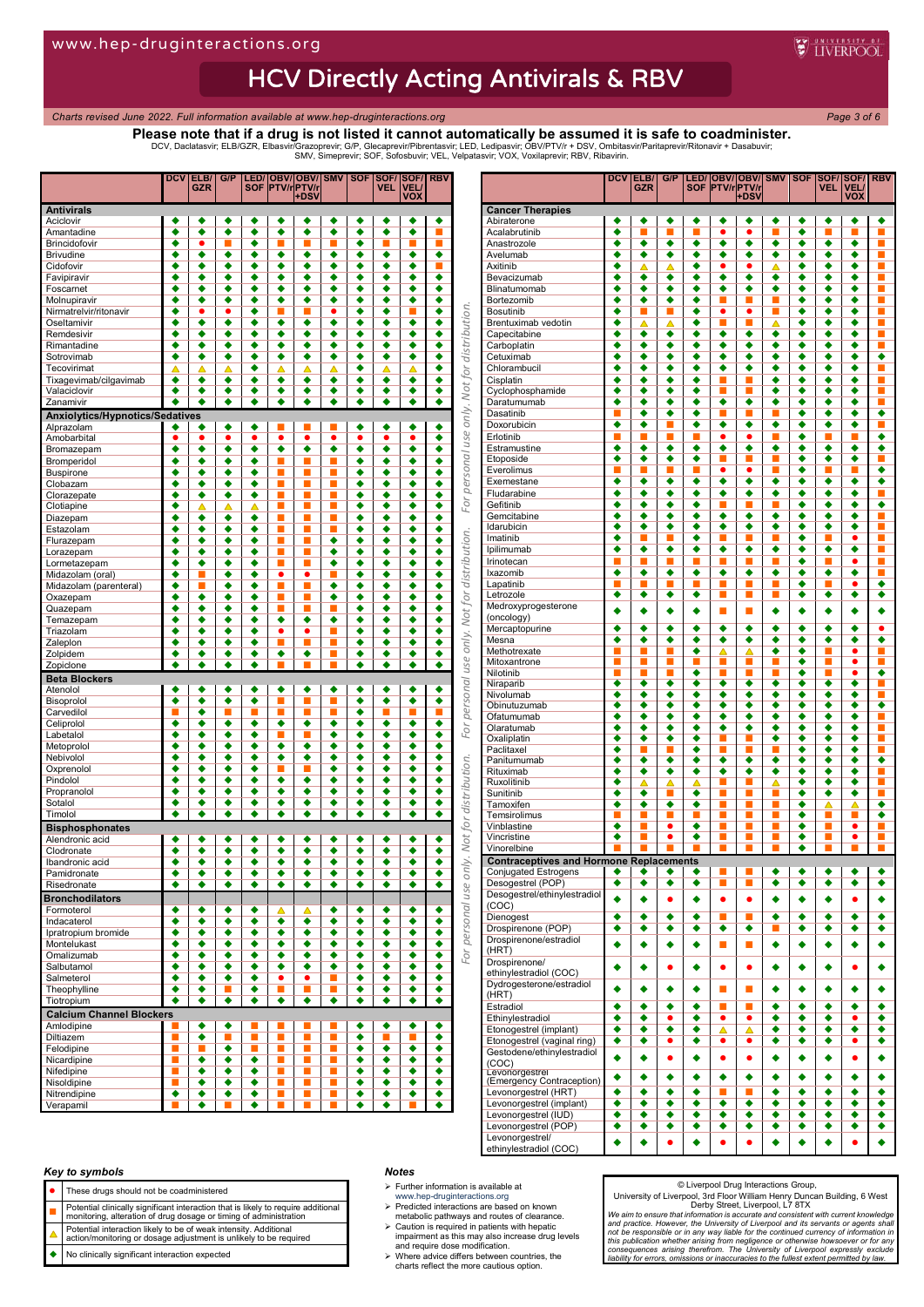# **HCV Directly Acting Antivirals & RBV**

*Charts revised June 2022. Full information available at www.hep-druginteractions.org Page 3 of 6*

## **Please note that if a drug is not listed it cannot automatically be assumed it is safe to coadminister.**

DCV, Daclatasvir; ELB/GZR, Elbasvir/Grazoprevir; G/P, Glecaprevir/Pibrentasvir; LED, Ledipasvir; OBV/PTV/r + DSV, Ombitasvir/Paritaprevir/Ritonavir + Dasabuvir;<br>SMV, Simeprevir; SOF, Sofosbuvir; VEL, Velpatasvir; VOX, Vox

|                                                      | <b>DCV</b>           | ELB/<br><b>GZR</b>          | G/P                  |                      | <b>SOF PTV/rPTV/</b>                                       | LED/ OBV/ OBV/  SMV   SOF<br>+DS\ |        |                      | SOF/<br><b>VEL</b>   | <b>SOF/</b><br><b>VEL</b><br><b>VOX</b> | <b>RBV</b>           |               |                                                       | <b>DCV</b> | ELB/<br><b>GZR</b> | G/P            |        | <b>SOF PTV/rPTV/r</b>       | LED/ OBV/ OBV/ SMV   SOF   SOF/<br>+DSV |                                                                                                                                                                                                                                   |        | <b>VEL</b> | <b>SOF/</b> RBV<br><b>VEL</b><br><b>VOX</b> |                                  |
|------------------------------------------------------|----------------------|-----------------------------|----------------------|----------------------|------------------------------------------------------------|-----------------------------------|--------|----------------------|----------------------|-----------------------------------------|----------------------|---------------|-------------------------------------------------------|------------|--------------------|----------------|--------|-----------------------------|-----------------------------------------|-----------------------------------------------------------------------------------------------------------------------------------------------------------------------------------------------------------------------------------|--------|------------|---------------------------------------------|----------------------------------|
| <b>Antivirals</b>                                    |                      |                             |                      |                      |                                                            |                                   |        |                      |                      |                                         |                      |               | <b>Cancer Therapies</b>                               |            |                    |                |        |                             |                                         |                                                                                                                                                                                                                                   |        |            |                                             |                                  |
| Aciclovir                                            | ٠                    | ٠                           | ٠<br>٠               | ٠<br>٠               | ٠                                                          | ٠<br>٠                            | ٠      | ٠<br>٠               | ٠<br>٠               | ٠                                       | ٠                    |               | Abiraterone                                           | ٠          | ٠                  | ٠<br>г         | ٠      | ٠<br>٠                      | ٠<br>٠                                  | ٠                                                                                                                                                                                                                                 | ٠      | ٠          | ٠                                           | ٠                                |
| Amantadine<br>Brincidofovi                           | ٠<br>٠               | ٠<br>٠                      |                      | ٠                    | ٠<br>П                                                     |                                   | ٠      | ٠                    | П                    | ٠                                       | ■<br>E               |               | Acalabrutinib<br>Anastrozole                          | ٠<br>٠     | ٠                  | ٠              | ٠      | ٠                           | ٠                                       | г<br>٠                                                                                                                                                                                                                            | ٠<br>٠ | ٠          | ٠                                           | п<br>п                           |
| <b>Brivudine</b>                                     | ٠                    | ٠                           | ٠                    | ٠                    | ٠                                                          | ٠                                 | ٠      | ٠                    | ٠                    | ٠                                       | ٠                    |               | Avelumab                                              | ٠          | ٠                  | ٠              | ٠      | ٠                           | ٠                                       | ٠                                                                                                                                                                                                                                 | ٠      | ٠          | ٠                                           | $\blacksquare$                   |
| Cidofovir                                            | ٠                    | ٠                           | ٠                    | ٠                    | ٠                                                          | ٠                                 | ٠      | ٠                    | ٠                    | ٠                                       |                      |               | Axitinib                                              | ٠          |                    |                | ٠      | ٠                           | ٠                                       |                                                                                                                                                                                                                                   | ٠      | ٠          | ٠                                           | <b>I</b>                         |
| Favipiravir                                          | ٠                    | ٠                           | ٠                    | ٠                    | ٠                                                          | ٠                                 | ٠      | ٠                    | ٠                    | ٠                                       | ٠                    |               | Bevacizumab                                           | ٠          | ٠                  | ٠              | ٠      | ٠                           | ٠                                       | ٠                                                                                                                                                                                                                                 | ٠      | ٠          | ٠                                           | п                                |
| Foscarnet                                            | ٠                    | ٠                           | ٠                    | ٠                    | ٠                                                          | ٠                                 | ٠      | ٠                    | ٠                    | ٠                                       | ٠                    |               | Blinatumomab                                          | ٠          | ٠                  | ٠              | ٠      | ٠                           | ٠                                       | ٠                                                                                                                                                                                                                                 | ٠      | ٠          | ٠                                           | П                                |
| Molnupiravir                                         | ٠                    | ٠                           | ٠                    | ٠                    | ٠                                                          | ٠                                 | ٠      | ٠                    | ٠                    | ٠                                       | ٠                    |               | Bortezomib                                            | ٠          | ٠                  | ٠              | ٠      |                             |                                         | L.                                                                                                                                                                                                                                | ٠      | ٠          | ٠                                           | п                                |
| Nirmatrelvir/ritonavir<br>Oseltamivir                | ٠<br>٠               | ٠<br>٠                      | ٠                    | ٠<br>٠               | П<br>٠                                                     | ٠                                 | ٠      | ٠<br>٠               | ٠<br>٠               | ٠                                       | ٠<br>٠               | distribution  | <b>Bosutinib</b><br>Brentuximab vedotin               | ٠<br>٠     | ▅                  | г<br>Δ         | ٠<br>٠ | ٠                           | ٠<br>п                                  | ■<br>△                                                                                                                                                                                                                            | ٠<br>٠ | ٠<br>٠     | ٠<br>٠                                      | П<br>$\mathcal{L}_{\mathcal{A}}$ |
| Remdesivir                                           | ٠                    | ٠                           | ٠                    | ٠                    | ٠                                                          | ٠                                 | ٠      | ٠                    | ٠                    | ٠                                       | ٠                    |               | Capecitabine                                          | ٠          | ٠                  | ٠              | ٠      | ٠                           | ٠                                       | ٠                                                                                                                                                                                                                                 | ٠      | ٠          | ٠                                           | $\blacksquare$                   |
| Rimantadine                                          | ٠                    | ٠                           | ٠                    | ٠                    | ٠                                                          | ٠                                 | ٠      | ٠                    | ٠                    | ٠                                       | ٠                    |               | Carboplatin                                           | ٠          | ٠                  | ٠              | ٠      | ٠                           | ٠                                       | ٠                                                                                                                                                                                                                                 | ٠      | ٠          | ٠                                           | $\mathcal{L}_{\mathcal{A}}$      |
| Sotrovimab                                           | ٠                    | ٠                           | ٠                    | ٠                    | ٠                                                          | ٠                                 | ٠      | ٠                    | ٠                    | ٠                                       | ٠                    |               | Cetuximab                                             | ٠          | ٠                  | ٠              | ٠      | ٠                           | ٠                                       | ٠                                                                                                                                                                                                                                 | ٠      | ٠          | ٠                                           | ٠                                |
| Tecovirimat                                          |                      | Δ                           |                      | ٠                    | Δ                                                          |                                   |        | ٠                    | ୵                    | Δ                                       | ٠                    | for           | Chlorambuci                                           | ٠          | ٠                  | ٠              | ٠      | ٠                           | ٠                                       | ٠                                                                                                                                                                                                                                 | ٠      | ٠          | ٠                                           | ш                                |
| Tixagevimab/cilgavimab                               | ٠                    | ٠                           | ٠                    | ٠                    | ٠                                                          | ٠                                 | ٠      | ٠                    | ٠                    | ٠                                       | ٠                    |               | Cisplatin                                             | ٠          | ٠                  | ٠              | ٠      |                             | ■                                       | ٠                                                                                                                                                                                                                                 | ٠      | ٠          | ٠                                           | п                                |
| Valaciclovir                                         | ٠<br>۰               | ٠                           | ٠                    | ٠                    | ٠                                                          | ٠<br>٠                            | ٠      | ٠                    | ٠<br>٠               | ٠                                       | ٠                    | Not           | Cyclophosphamide                                      | ٠          | ٠                  | ٠              | ٠      |                             | ■                                       | ٠                                                                                                                                                                                                                                 | ٠      | ٠          | ٠                                           | ш<br>п                           |
| Zanamivir                                            |                      | ٠                           | ٠                    | ٠                    | ٠                                                          |                                   | ٠      | ٠                    |                      | ٠                                       | ٠                    | only.         | Daratumumab<br>Dasatinib                              |            | ٠<br>٠             | ٠<br>٠         | ٠<br>٠ | ٠                           | ٠                                       | ٠<br>e e                                                                                                                                                                                                                          | ٠<br>٠ | ٠<br>٠     | ٠<br>٠                                      | ٠                                |
| <b>Anxiolytics/Hypnotics/Sedatives</b><br>Alprazolam | ٠                    | ٠                           | ٠                    | ٠                    | ■                                                          |                                   |        | ٠                    | ٠                    | ٠                                       |                      |               | Doxorubicin                                           | ٠          | ٠                  | г              | ٠      | ٠                           | ٠                                       | ٠                                                                                                                                                                                                                                 | ٠      | ٠          | ٠                                           | П                                |
| Amobarbital                                          |                      | ٠                           | ٠                    | ٠                    | $\bullet$                                                  | ٠                                 | ٠      | ٠                    | $\bullet$            | ٠                                       | ٠                    | use           | Erlotinib                                             |            | ■                  | г              |        | ٠                           | $\bullet$                               | ■                                                                                                                                                                                                                                 | ٠      | п          |                                             | ٠                                |
| Bromazepam                                           | ٠                    | ٠                           | ٠                    | ٠                    | ٠                                                          | ٠                                 | ٠      | ٠                    | ٠                    | ٠                                       | ٠                    |               | Estramustine                                          | ٠          | ٠                  | ٠              | ٠      | ٠                           | ٠                                       | ٠                                                                                                                                                                                                                                 | ٠      | ٠          | ٠                                           | ٠                                |
| Bromperidol                                          | ٠                    | ٠                           | ٠                    | ٠                    | п                                                          | г                                 |        | ٠                    | ٠                    | ٠                                       | ٠                    | personal      | Etoposide                                             | ٠          | ٠                  | ٠              | ٠      |                             |                                         | г                                                                                                                                                                                                                                 | ٠      | ٠          | ٠                                           | п                                |
| <b>Buspirone</b>                                     | ٠                    | ٠                           | ٠                    | ٠                    | ×                                                          | п                                 |        | ٠                    | ٠                    | ٠                                       | ٠                    |               | Everolimus                                            |            | ш                  | П              |        | ٠                           | ٠                                       | ■                                                                                                                                                                                                                                 | ٠      | ■          |                                             | $\overline{\bullet}$             |
| Clobazam                                             | ٠                    | ٠                           | ٠                    | ٠                    | $\blacksquare$                                             | ■                                 |        | ٠                    | ٠                    | ٠                                       | ٠                    |               | Exemestane                                            | ٠          | ٠                  | ٠              | ٠      | ٠                           | ٠                                       | ٠                                                                                                                                                                                                                                 | ٠      | ٠          | ٠                                           | ٠                                |
| Clorazepate                                          | ٠                    | ٠                           | ٠                    | ٠                    | $\mathcal{L}_{\mathcal{A}}$                                | п                                 |        | ٠                    | ٠                    | ٠                                       | ٠                    |               | Fludarabine                                           | ٠          | ٠<br>٠             | ٠              | ٠      | ٠                           | ٠                                       | ٠                                                                                                                                                                                                                                 | ٠<br>٠ | ٠          | ٠                                           | П                                |
| Clotiapine                                           | ٠<br>٠               | ◬                           |                      |                      | $\blacksquare$                                             | г                                 | г      | ٠                    | ٠                    | ٠                                       | ٠                    | For           | Gefitinib<br>Gemcitabine                              | ٠<br>٠     | ٠                  | ٠<br>٠         | ٠<br>٠ | ٠                           | ٠                                       | e e<br>٠                                                                                                                                                                                                                          | ٠      | ٠<br>٠     | ٠<br>٠                                      | ٠<br>$\blacksquare$              |
| Diazepam<br>Estazolam                                | ٠                    | ٠<br>٠                      | ٠<br>٠               | ٠<br>٠               | п<br>$\mathcal{L}_{\mathcal{A}}$                           | п<br>г                            |        | ٠<br>٠               | ٠<br>٠               | ٠<br>٠                                  | ٠<br>٠               |               | Idarubicin                                            | ٠          | ٠                  | ٠              | ٠      | ٠                           | ٠                                       | ٠                                                                                                                                                                                                                                 | ٠      | ٠          | ٠                                           | $\mathcal{L}_{\mathcal{A}}$      |
| Flurazepam                                           | ٠                    | ٠                           | ٠                    | ٠                    | п                                                          | ■                                 | ٠      | ٠                    | ٠                    | ٠                                       | ٠                    |               | Imatinib                                              | ٠          |                    |                | ٠      |                             | п                                       | г                                                                                                                                                                                                                                 | ٠      | ▅          | ٠                                           | $\mathcal{L}_{\mathcal{A}}$      |
| Lorazepam                                            | ٠                    | ٠                           | ٠                    | ٠                    | п                                                          | г                                 | ٠      | ٠                    | ٠                    | ٠                                       | ٠                    | distribution. | Ipilimumab                                            | ٠          | ٠                  | ٠              | ٠      | ٠                           | ٠                                       | ٠                                                                                                                                                                                                                                 | ٠      | ٠          | ٠                                           | п                                |
| Lormetazepam                                         | ٠                    | ٠                           | ٠                    | ٠                    | п                                                          |                                   | ٠      | ٠                    | ٠                    | ٠                                       | ٠                    |               | Irinotecan                                            |            | П                  | п              |        |                             | ▅                                       | г                                                                                                                                                                                                                                 | ٠      | ▅          | ●                                           | п                                |
| Midazolam (oral)                                     | ٠                    |                             | ٠                    | ٠                    | $\bullet$                                                  | ٠                                 |        | ٠                    | ٠                    | ٠                                       | ٠                    |               | Ixazomib                                              | ٠          | ٠                  | ٠              | ٠      | ٠                           | ٠                                       | ٠                                                                                                                                                                                                                                 | ٠      | ٠          | ٠                                           | п                                |
| Midazolam (parenteral)                               | ٠                    | ш                           | ٠                    | ٠                    | $\mathcal{L}_{\mathcal{A}}$                                | г                                 | ٠      | ٠                    | ٠                    | ٠                                       | ٠                    |               | Lapatinib                                             |            |                    | г              |        |                             |                                         | г                                                                                                                                                                                                                                 | ٠      |            |                                             | ٠                                |
| Oxazepam                                             | ٠                    | ٠                           | ٠                    | ٠                    | п                                                          | п                                 | ٠      | ٠                    | ٠                    | ٠                                       | ٠                    | for           | Letrozole                                             | ٠          | ٠                  | ٠              | ٠      | ш                           | п                                       | $\blacksquare$                                                                                                                                                                                                                    | ٠      | ٠          | ٠                                           | ٠                                |
| Quazepam                                             | ٠                    | ٠                           | ٠                    | ٠                    | п                                                          |                                   |        | ٠                    | ٠                    | ٠                                       | ٠                    | Not           | Medroxyprogesterone<br>(oncology)                     | ٠          | ٠                  | ٠              | ٠      |                             | п                                       | ٠                                                                                                                                                                                                                                 | ٠      |            | ٠                                           |                                  |
| Temazepam<br>Triazolam                               | ٠<br>٠               | ٠<br>٠                      | ٠<br>٠               | ٠<br>٠               | ٠<br>٠                                                     | ٠<br>٠                            | ٠      | ٠<br>٠               | ٠<br>٠               | ٠<br>٠                                  | ٠<br>٠               |               | Mercaptopurine                                        | ٠          | ٠                  | ٠              | ٠      | ٠                           | ٠                                       | ٠                                                                                                                                                                                                                                 | ٠      | ٠          | ٠                                           | ٠                                |
| Zaleplon                                             | ٠                    | ٠                           | ٠                    | ٠                    | п                                                          | г                                 |        | ٠                    | ٠                    | ٠                                       | ٠                    | only.         | Mesna                                                 | ٠          | ٠                  | ٠              | ٠      | ٠                           | ٠                                       | ٠                                                                                                                                                                                                                                 | ٠      | ٠          | ٠                                           | ٠                                |
| Zolpidem                                             | ٠                    | ٠                           | ٠                    | ٠                    | ٠                                                          | ٠                                 |        | ٠                    | ٠                    | ٠                                       | ٠                    |               | Methotrexate                                          |            | ш                  | L.             | ٠      | Δ                           | △                                       | ٠                                                                                                                                                                                                                                 | ٠      | ■          |                                             | п                                |
| Zopiclone                                            | ٠                    | ٠                           | ٠                    | ٠                    |                                                            |                                   |        | ٠                    |                      | ٠                                       | ٠                    | use           | Mitoxantrone                                          |            | ■                  | г              |        | п                           | ■                                       | г                                                                                                                                                                                                                                 | ٠      | п          | $\bullet$                                   | П                                |
| <b>Beta Blockers</b>                                 |                      |                             |                      |                      |                                                            |                                   |        |                      |                      |                                         |                      |               | Nilotinib                                             | ٠          | п                  |                | ٠      |                             |                                         |                                                                                                                                                                                                                                   | ٠<br>٠ | п          | ●<br>٠                                      | ٠                                |
| Atenolol                                             | ٠                    | ٠                           | ٠                    | ٠                    | ٠                                                          | ٠                                 | ٠      | ٠                    | ٠                    | ٠                                       | ٠                    | personal      | Niraparib<br>Nivolumab                                | ٠          | ٠<br>٠             | ٠<br>٠         | ٠<br>▲ | ٠<br>٠                      | ٠<br>٠                                  | ٠<br>٠                                                                                                                                                                                                                            | ٠      | ٠<br>٠     | ٠                                           | П<br>П                           |
| Bisoprolol                                           | ٠                    | ٠                           | ٠                    | ٠                    | П                                                          |                                   |        | ٠                    | ٠                    | ٠                                       | ٠                    |               | Obinutuzumab                                          | ٠          | ٠                  | ٠              | ٠      | ٠                           | ٠                                       | ٠                                                                                                                                                                                                                                 | ٠      | ٠          | ٠                                           | ٠                                |
| Carvedilo                                            |                      | ٠                           |                      |                      | п                                                          |                                   |        | ٠                    | П                    |                                         |                      |               | Ofatumumab                                            | ٠          | ٠                  | ٠              | ٠      | ٠                           | ٠                                       | ٠                                                                                                                                                                                                                                 | ٠      | ٠          | ٠                                           | п                                |
| Celiprolol                                           | ٠                    | ٠                           | ٠                    | ٠                    | ٠                                                          | ٠                                 | ٠      | ٠                    | ٠                    | ٠                                       | ٠                    | For           | Olaratumab                                            |            | ٠                  | ٠              | ٠      | ٠                           | ٠                                       | ٠                                                                                                                                                                                                                                 | ٠      |            | ٠                                           | П                                |
| Labetalol<br>Metoprolol                              | ٠<br>٠               | ٠<br>٠                      | ٠<br>٠               | ٠<br>٠               | г<br>٠                                                     | ٠                                 | ٠<br>٠ | ٠<br>٠               | ٠<br>٠               | ٠<br>٠                                  | ٠<br>٠               |               | Oxaliplatin                                           | ٠          | ٠                  | ٠              | ٠      |                             |                                         | ٠                                                                                                                                                                                                                                 | ٠      | ٠          | ٠                                           | П                                |
| Nebivolol                                            | ٠                    | ٠                           | ٠                    | ٠                    | ٠                                                          | ٠                                 | ٠      | ٠                    | ٠                    | ٠                                       | ٠                    |               | Paclitaxel                                            | ٠          |                    |                | ٠      |                             |                                         | e de la provincia de la construcción de la construcción de la construcción de la construcción de la construcció<br>La construcción de la construcción de la construcción de la construcción de la construcción de la construcción | ٠      | ٠          | ٠                                           | $\blacksquare$                   |
| Oxprenolol                                           | ٠                    | ٠                           | ٠                    | ٠                    | г                                                          |                                   | ٠      | ٠                    | ٠                    | ٠                                       | ٠                    |               | Panitumumab<br>Rituximab                              | ٠<br>٠     | ٠<br>٠             | ٠<br>٠         | ٠<br>٠ | ٠<br>٠                      | ٠<br>٠                                  | ٠<br>٠                                                                                                                                                                                                                            | ٠<br>٠ | ٠<br>٠     | ٠<br>٠                                      | ٠<br>Π                           |
| Pindolol                                             | ٠                    | ٠                           | ٠                    | ٠                    | ٠                                                          | ٠                                 | ٠      | ٠                    | ٠                    | ٠                                       | ٠                    | distribution. | Ruxolitinib                                           | ٠          | Δ                  | Δ              | △      |                             | ш                                       | △                                                                                                                                                                                                                                 | ٠      | ٠          | ٠                                           | П                                |
| Propranolol                                          | ٠                    | ٠                           | ٠                    | ٠                    | ٠                                                          | ٠                                 | ٠      | ٠                    | ٠                    | ٠                                       | ٠                    |               | Sunitinib                                             | ٠          | ٠                  | г              | ٠      |                             | ■                                       | г                                                                                                                                                                                                                                 | ٠      | ٠          | ٠                                           | П                                |
| Sotalo                                               | ٠                    | ٠                           | ٠                    | ٠                    | ٠                                                          | ٠                                 | ٠      | ٠                    | ٠                    | ٠                                       | ٠                    |               | Tamoxifen                                             | ٠          | ٠                  | ٠              | ٠      | п                           |                                         | e e                                                                                                                                                                                                                               | ٠      |            |                                             | ٠                                |
| Timolol                                              | ٠                    | ٠                           | ٠                    | ٠                    | ٠                                                          |                                   |        | ٠                    |                      | ٠                                       | ٠                    | for           | Temsirolimus                                          |            |                    |                |        |                             | ▅                                       | г                                                                                                                                                                                                                                 | ٠      |            |                                             | ٠                                |
| <b>Bisphosphonates</b>                               |                      |                             |                      |                      |                                                            |                                   |        |                      |                      |                                         |                      |               | Vinblastine<br>Vincristine                            | ٠<br>٠     | o,                 | ٠<br>$\bullet$ | ٠<br>٠ | п                           |                                         |                                                                                                                                                                                                                                   | ٠<br>٠ | п          | ٠<br>٠                                      | П                                |
| Alendronic acid                                      | ٠                    | ٠                           | ٠                    | ٠                    | ٠                                                          |                                   | ٠      | ٠                    |                      | ٠                                       | ٠                    | Not           | Vinorelbine                                           |            | п                  | п              | П      | п                           | п<br>п                                  | П<br>П                                                                                                                                                                                                                            | ٠      |            | п                                           | ш<br>ш                           |
| Clodronate<br>Ibandronic acid                        | ٠<br>٠               | ٠<br>۰                      | ٠<br>۰               | ٠<br>٠               | ٠<br>۰                                                     | ٠<br>۰                            | ۰<br>٠ | ٠<br>۰               | ٠<br>۰               | ٠<br>۰                                  | ٠<br>٠               |               | <b>Contraceptives and Hormone Replacements</b>        |            |                    |                |        |                             |                                         |                                                                                                                                                                                                                                   |        |            |                                             |                                  |
| Pamidronate                                          | ٠                    | ٠                           | ٠                    | ٠                    | ٠                                                          | $\overline{\bullet}$              | ٠      | ٠                    | $\overline{\bullet}$ | ٠                                       | ٠                    | luo           | <b>Conjugated Estrogens</b>                           | ٠          | ٠                  | ٠              | ٠      | п                           | п                                       | ٠                                                                                                                                                                                                                                 | ٠      | ٠          | ٠                                           | ٠                                |
| Risedronate                                          | $\overline{\bullet}$ | ۰                           | $\overline{\bullet}$ | $\overline{\bullet}$ | $\overline{\bullet}$                                       | $\overline{\bullet}$              | ٠      | $\overline{\bullet}$ | $\overline{\bullet}$ | $\overline{\bullet}$                    | $\overline{\bullet}$ |               | Desogestrel (POP)                                     | ۰          | ۰                  | ۰              | ٠      | $\mathcal{L}_{\mathcal{A}}$ | <b>C</b>                                | ۰                                                                                                                                                                                                                                 | ۰      | ۰          | ٠                                           | ٠                                |
| <b>Bronchodilators</b>                               |                      |                             |                      |                      |                                                            |                                   |        |                      |                      |                                         |                      | use           | Desogestrel/ethinylestradiol                          | ٠          | $\bullet$          | $\bullet$      | ٠      | $\bullet$                   | $\bullet$                               | $\bullet$                                                                                                                                                                                                                         | ٠      | ٠          |                                             | ٠                                |
| Formoterol                                           | ٠                    | ٠                           | ٠                    | ٠                    | Δ                                                          | Δ                                 | ٠      | ٠                    | ٠                    | ٠                                       | ٠                    | personal      | (COC)                                                 |            |                    |                |        |                             |                                         |                                                                                                                                                                                                                                   |        |            |                                             |                                  |
| Indacaterol                                          | $\overline{\bullet}$ | ٠                           | ٠                    | ۰                    | ۰                                                          | ٠                                 | ٠      | ٠                    | ۰                    | ٠                                       | ٠                    |               | Dienogest                                             | ٠          | ٠                  | ٠              | ٠      |                             | ш                                       | ٠                                                                                                                                                                                                                                 | ٠      | ٠          | ٠                                           | ٠                                |
| Ipratropium bromide                                  | ٠                    | ٠                           | ٠                    | ٠                    | ٠                                                          | ٠                                 | ٠      | ٠                    | ٠                    | ٠                                       | ٠                    |               | Drospirenone (POP)<br>Drospirenone/estradiol          | ٠          | ٠                  | ٠              | ٠      | ٠                           | ٠                                       | П                                                                                                                                                                                                                                 | ٠      | ٠          | ٠                                           | ٠                                |
| Montelukast                                          | ٠                    | ٠                           | ٠                    | ٠                    | ٠                                                          | ٠                                 | ٠      | ٠                    | ٠                    | ٠                                       | ۰                    |               | (HRT)                                                 | ٠          | ٠                  | ٠              | ٠      | п                           | п                                       | ۰                                                                                                                                                                                                                                 | ٠      | ٠          | ٠                                           | ٠                                |
| Omalizumab<br>Salbutamol                             | ٠<br>٠               | ٠<br>٠                      | ٠<br>٠               | ٠<br>٠               | ٠                                                          | ٠<br>٠                            | ٠<br>٠ | ٠<br>٠               | ٠<br>٠               | ٠<br>٠                                  | ٠<br>٠               | For           | Drospirenone/                                         |            |                    | ٠              |        |                             | ٠                                       |                                                                                                                                                                                                                                   |        |            |                                             |                                  |
| Salmeterol                                           | ٠                    | ٠                           | ٠                    | ٠                    | ٠<br>٠                                                     | ٠                                 | п      | ٠                    | ٠                    | ٠                                       | ۰                    |               | ethinylestradiol (COC)                                | ٠          | ٠                  |                | ٠      |                             |                                         | ٠                                                                                                                                                                                                                                 | ٠      | ٠          |                                             | ٠                                |
| Theophylline                                         | ٠                    | ٠                           | п                    | ٠                    | $\mathcal{L}_{\mathcal{A}}$                                | п                                 | П      | ٠                    | ٠                    | ٠                                       | ۰                    |               | Dydrogesterone/estradiol                              | ٠          | ٠                  | ٠              | ٠      |                             | п                                       | ٠                                                                                                                                                                                                                                 | ٠      | ٠          | ٠                                           | ٠                                |
| Tiotropium                                           | ٠                    | ٠                           | ٠                    | ٠                    | ٠                                                          | ٠                                 | ٠      | ٠                    | ٠                    | ۰                                       | ۰                    |               | (HRT)                                                 |            |                    |                |        |                             |                                         |                                                                                                                                                                                                                                   |        |            |                                             |                                  |
| <b>Calcium Channel Blockers</b>                      |                      |                             |                      |                      |                                                            |                                   |        |                      |                      |                                         |                      |               | Estradiol                                             | ٠          | ٠                  | ٠              | ٠      | п                           | п                                       | ۰                                                                                                                                                                                                                                 | ٠      | ٠          | ٠                                           | ۰                                |
| Amlodipine                                           |                      | ٠                           | ٠                    |                      | п                                                          | ▬                                 |        | ٠                    | ٠                    | ٠                                       | ٠                    |               | Ethinylestradiol                                      | ٠<br>٠     | ٠                  | ٠              | ٠      | ٠                           | ٠                                       | ٠                                                                                                                                                                                                                                 | ٠      | ٠          | ●                                           | $\overline{\bullet}$<br>٠        |
| Diltiazem                                            | П                    | ۰                           | $\mathbb{R}^n$       | <b>I</b>             | ш                                                          | п                                 | ш      | ٠                    | $\blacksquare$       | ×                                       | ٠                    |               | Etonogestrel (implant)<br>Etonogestrel (vaginal ring) | ٠          | ۰<br>٠             | ٠<br>٠         | ٠<br>٠ | Δ<br>٠                      | Δ<br>٠                                  | ٠<br>٠                                                                                                                                                                                                                            | ٠<br>٠ | ٠<br>٠     | ٠<br>٠                                      | ۰                                |
| Felodipine                                           | <b>COL</b>           | $\mathcal{L}_{\mathcal{A}}$ | ٠                    | п                    | $\mathcal{L}_{\mathcal{A}}$                                | п                                 | п      | ٠                    | ٠                    | ٠                                       | ٠                    |               | Gestodene/ethinylestradiol                            |            |                    |                |        |                             |                                         |                                                                                                                                                                                                                                   |        |            |                                             |                                  |
| Nicardipine                                          |                      | ٠                           | ٠                    | ۰                    | $\mathbf{r}$                                               | п                                 | П      | ٠                    | ۰                    | ٠                                       | ٠                    |               | (COC)                                                 | ٠          | ٠                  |                | ٠      | ٠                           |                                         | ٠                                                                                                                                                                                                                                 | ٠      | ٠          |                                             | ٠                                |
| Nifedipine                                           |                      | ٠                           | ٠                    | ٠                    | $\mathcal{L}_{\mathcal{A}}$                                | п                                 | п      | ٠                    | ٠                    | ٠                                       | ۰                    |               | Levonorgestrel<br>(Emergency Contraception)           | ٠          | ٠                  | ٠              | ٠      | ٠                           | ٠                                       | ٠                                                                                                                                                                                                                                 | ٠      | ٠          | ٠                                           | ٠                                |
| Nisoldipine                                          | ш                    | ٠                           | ٠                    | ٠                    | $\mathcal{L}_{\mathcal{A}}$                                | п                                 | п      | ٠                    | ٠                    | ٠                                       | ۰                    |               | Levonorgestrel (HRT)                                  | ٠          | ٠                  | ٠              | ٠      | п                           | п                                       | ٠                                                                                                                                                                                                                                 | ٠      | ٠          | ٠                                           | $\overline{\bullet}$             |
| Nitrendipine<br>Verapamil                            | ٠                    | ٠<br>٠                      | ٠                    | ٠<br>٠               | $\mathcal{L}_{\mathcal{A}}$<br>$\mathcal{L}_{\mathcal{A}}$ | п<br>п                            | п      | ٠<br>٠               | ٠<br>٠               | ٠                                       | ٠<br>٠               |               | Levonorgestrel (implant)                              | ٠          | ٠                  | ٠              | ٠      | ٠                           | ٠                                       | ٠                                                                                                                                                                                                                                 | ٠      | ٠          | ٠                                           | $\overline{\bullet}$             |
|                                                      |                      |                             |                      |                      |                                                            |                                   |        |                      |                      |                                         |                      |               | Levonorgestrel (IUD)                                  | ٠          | ٠                  | ٠              | ٠      | ٠                           | ٠                                       | ٠                                                                                                                                                                                                                                 | ٠      | ٠          | ٠                                           | ٠                                |

#### *Key to symbols*

- These drugs should not be coadministered
- 
- **Potential clinically significant interaction that is likely to require additional**<br>monitoring, alteration of drug dosage or timing of administration
- Potential interaction likely to be of weak intensity. Additional
- action/monitoring or dosage adjustment is unlikely to be required
- No clinically significant interaction expected

#### *Notes*

- $\triangleright$  Further information is available at
- 
- www.hep-druginteractions.org Predicted interactions are based on known metabolic pathways and routes of clearance.
- Caution is required in patients with hepatic impairment as this may also increase drug levels and require dose modification.
- Where advice differs between countries, the charts reflect the more cautious option.

#### © Liverpool Drug Interactions Group,

Levonorgestrel (POP) Levonorgestrel/ ethinylestradiol (COC)

University of Liverpool, 3rd Floor William Henry Duncan Building, 6 West<br>We aim to ensure that information is accurate and consistent with current knowledge<br>and practice. However, the University of Liverpool and the sevant

**WEINERPOOL**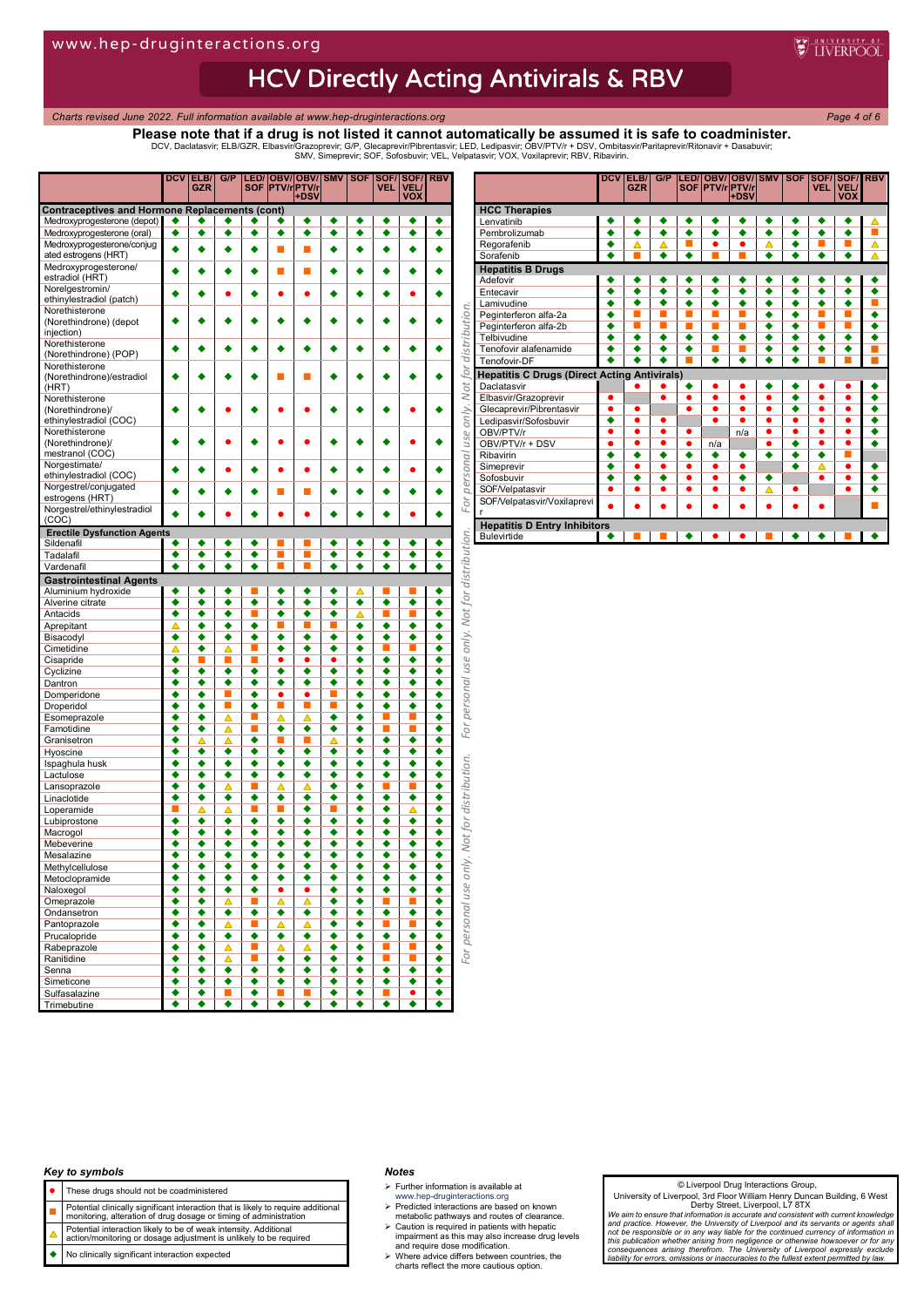# **HCV Directly Acting Antivirals & RBV**

*Charts revised June 2022. Full information available at www.hep-druginteractions.org Page 4 of 6*

## **Please note that if a drug is not listed it cannot automatically be assumed it is safe to coadminister.**

DCV, Daclatasvir; ELB/GZR, Elbasvir/Grazoprevir; G/P, Glecaprevir/Pibrentasvir; LED, Ledipasvir; OBV/PTV/r + DSV, Ombitasvir/Paritaprevir/Ritonavir + Dasabuvir;<br>SMV, Simeprevir; SOF, Sofosbuvir; VEL, Velpatasvir; VOX, Vox

|                                                          | <b>DCV</b> | ELB/<br><b>GZR</b>   | G/P    | LED/<br>SOF               |        | <b>OBV/OBV/ SMV</b><br><b>PTV/rPTV/r</b> |        | <b>SOF</b> | <b>VEL</b>                       | SOF/SOF/<br>VEL/            | <b>RBV</b> |
|----------------------------------------------------------|------------|----------------------|--------|---------------------------|--------|------------------------------------------|--------|------------|----------------------------------|-----------------------------|------------|
| <b>Contraceptives and Hormone Replacements (cont)</b>    |            |                      |        |                           |        | +DSV                                     |        |            |                                  | <b>VOX</b>                  |            |
| Medroxyprogesterone (depot)                              |            |                      |        |                           |        | ٠                                        |        |            |                                  |                             | ٠          |
| Medroxyprogesterone (oral)<br>Medroxyprogesterone/conjug | ٠          | ٠                    | ٠      | ٠                         | ٠      | ٠                                        | ٠      | ٠          | ٠                                | ٠                           | ٠          |
| ated estrogens (HRT)                                     |            |                      |        | ۰                         | П      | п                                        |        |            |                                  |                             |            |
| Medroxyprogesterone/                                     |            |                      |        |                           | п      | п                                        |        |            |                                  |                             |            |
| estradiol (HRT)<br>Norelgestromin/                       |            |                      |        |                           |        |                                          |        |            |                                  |                             |            |
| ethinylestradiol (patch)                                 |            |                      |        |                           |        |                                          |        |            |                                  |                             |            |
| Norethisterone                                           |            |                      |        |                           |        |                                          |        |            |                                  |                             |            |
| (Norethindrone) (depot                                   |            |                      |        |                           |        |                                          |        |            |                                  |                             |            |
| injection)<br>Norethisterone                             |            |                      |        |                           |        |                                          |        |            |                                  |                             |            |
| (Norethindrone) (POP)                                    |            |                      |        |                           |        |                                          |        |            |                                  |                             |            |
| Norethisterone                                           |            |                      |        |                           |        |                                          |        |            |                                  |                             |            |
| (Norethindrone)/estradiol<br>(HRT)                       |            |                      |        |                           |        |                                          |        |            |                                  |                             |            |
| Norethisterone                                           |            |                      |        |                           |        |                                          |        |            |                                  |                             |            |
| (Norethindrone)/                                         |            |                      |        |                           |        |                                          |        |            |                                  |                             |            |
| ethinylestradiol (COC)<br>Norethisterone                 |            |                      |        |                           |        |                                          |        |            |                                  |                             |            |
| (Norethindrone)/                                         |            |                      |        |                           |        |                                          |        |            |                                  |                             |            |
| mestranol (COC)                                          |            |                      |        |                           |        |                                          |        |            |                                  |                             |            |
| Norgestimate/                                            |            |                      |        |                           |        |                                          |        |            |                                  |                             |            |
| ethinylestradiol (COC)<br>Norgestrel/conjugated          |            |                      |        |                           |        |                                          |        |            |                                  |                             |            |
| estrogens (HRT)                                          |            |                      |        |                           | ■      | п                                        |        |            |                                  |                             |            |
| Norgestrel/ethinylestradiol                              |            |                      |        |                           |        |                                          |        |            |                                  |                             |            |
| (COC)                                                    |            |                      |        |                           |        |                                          |        |            |                                  |                             |            |
| <b>Erectile Dysfunction Agents</b><br>Sildenafil         |            |                      |        |                           |        |                                          |        |            |                                  |                             |            |
| Tadalafil                                                | ٠          | ٠                    | ٠      | ٠                         |        |                                          | ٠      | ٠          | ٠                                | ٠                           | ٠          |
| Vardenafil                                               |            | ٠                    |        |                           |        |                                          |        |            |                                  |                             | ٠          |
| <b>Gastrointestinal Agents</b>                           |            |                      |        |                           |        |                                          |        |            |                                  |                             |            |
| Aluminium hydroxide                                      | ٠          | ٠                    | ٠      |                           | ٠      | ٠                                        | ٠      |            |                                  |                             | ٠          |
| Alverine citrate<br>Antacids                             | ٠<br>٠     | ٠<br>٠               | ٠<br>٠ | ٠<br>П                    | ٠<br>٠ | ٠<br>٠                                   | ٠<br>٠ | ٠<br>Δ     | ٠<br>П                           | ٠<br>■                      | ٠<br>٠     |
| Aprepitant                                               | Δ          | ٠                    | ٠      | ٠                         |        |                                          |        | ٠          | ٠                                | ٠                           | ٠          |
| Bisacodyl                                                | ٠          | ٠                    | ٠      | ٠                         | ٠      | ٠                                        | ٠      | ٠          | ٠                                | ٠                           | ٠          |
| Cimetidine                                               | △          | ٠                    | △      | ш                         | ٠      | ٠                                        | ٠      | ٠          | ш                                |                             | ٠          |
| Cisapride                                                | ٠          |                      | ■      |                           | ٠      | ٠                                        | ٠      |            | ٠                                | ٠                           | ٠          |
| Cyclizine<br>Dantron                                     | ٠<br>٠     | ٠<br>٠               | ٠<br>٠ | ٠<br>٠                    | ٠<br>٠ | ٠<br>۰                                   | ٠<br>٠ | ٠          | ٠<br>٠                           | ٠<br>٠                      | ٠<br>٠     |
| Domperidone                                              | ٠          | ٠                    |        | ٠                         | ٠      |                                          |        | ٠          | ٠                                | ٠                           | ٠          |
| Droperidol                                               | ٠          | ٠                    | ■      | ٠                         | п      | П                                        |        | ٠          | ٠                                | ٠                           | ٠          |
| Esomeprazole                                             | ٠          | ٠                    | Δ      |                           | Δ      | Δ                                        | ٠      | ٠          |                                  |                             | ٠          |
| Famotidine                                               | ٠<br>٠     | ٠                    | Δ      | П<br>$\overline{\bullet}$ | ٠      | ٠                                        | ٠      | ٠<br>٠     | П<br>٠                           | ▅<br>٠                      | ٠<br>٠     |
| Granisetron<br>Hyoscine                                  | ٠          | Δ<br>٠               | Δ<br>٠ | ٠                         | ٠      | ٠                                        | Δ<br>٠ | ٠          | ٠                                | ٠                           | ٠          |
| Ispaghula husk                                           | ٠          | ٠                    | ٠      | ٠                         | ٠      | ٠                                        | ٠      | ٠          | ٠                                | ٠                           | ٠          |
| Lactulose                                                | ٠          | ٠                    | ٠      | ٠                         | ٠      | ٠                                        | ٠      | ٠          | ٠                                | ٠                           | ٠          |
| Lansoprazole                                             | ٠          | ٠                    | △      | П                         | ▵      | Δ                                        | ٠      | ٠          | П                                | ▄                           | ٠          |
| Linaclotide<br>Loperamide                                | ٠          | ٠<br>Δ               | ٠<br>Δ | ٠                         | ٠<br>Г | ٠<br>٠                                   | ٠      | ٠<br>٠     | ٠<br>٠                           | ٠<br>Δ                      | ٠<br>٠     |
| Lubiprostone                                             | ٠          | ٠                    | ٠      | ٠                         | ٠      | ٠                                        | ٠      | ٠          | ٠                                | ٠                           | ٠          |
| Macrogol                                                 | ٠          | ٠                    | ٠      | ٠                         | ٠      | ٠                                        | ٠      | ٠          | ٠                                | ٠                           | ٠          |
| Mebeverine                                               | ٠          | ٠                    | ٠      | ٠                         | ٠      | ٠                                        | ٠      | ٠          | ٠                                | ٠                           | ٠          |
| Mesalazine                                               |            | ٠                    |        |                           |        |                                          |        |            |                                  |                             |            |
| Methylcellulose<br>Metoclopramide                        | ٠          | ٠                    | ٠      | ٠                         | ٠      | ٠                                        | ٠      | ٠          | ٠                                | ٠                           | ٠          |
| Naloxegol                                                | ٠          | ٠                    | ٠      | ٠                         | ٠      | ٠                                        | ٠      | ٠          | ٠                                | ٠                           | ٠          |
| Omeprazole                                               | ٠          | ٠                    | Δ      | П                         | Δ      | Δ                                        | ٠      | ٠          | п                                | п                           | ٠          |
| Ondansetron                                              | ٠          | ٠                    | ٠      | $\overline{\bullet}$      | ٠      | ٠                                        | ٠      | ٠          | ٠                                | ٠                           | ٠          |
| Pantoprazole                                             | ٠<br>٠     | ٠<br>٠               | Δ<br>٠ | U.                        | △      | Δ                                        | ٠<br>٠ | ٠<br>٠     | п                                | п                           | ٠<br>٠     |
| Prucalopride<br>Rabeprazole                              | ٠          | ٠                    | Δ      | ٠<br>U.                   | ٠<br>Δ | ٠<br>Δ                                   | ٠      | ٠          | ٠<br>$\mathcal{L}_{\mathcal{A}}$ | ٠<br><b>C</b>               | ٠          |
| Ranitidine                                               | ٠          | ٠                    | Δ      | L.                        | ٠      | ٠                                        | ٠      | ٠          | $\mathcal{L}_{\mathcal{A}}$      | $\mathcal{L}_{\mathcal{A}}$ | ٠          |
| Senna                                                    | ٠          | ٠                    | ٠      | ٠                         | ٠      | ٠                                        | ٠      | ٠          | ٠                                | ٠                           | ٠          |
| Simeticone                                               | ◆          | $\overline{\bullet}$ | ٠      | $\overline{\bullet}$      | ٠      | ٠                                        | ٠      | ٠          | ٠                                | ◆                           | ٠          |
| Sulfasalazine<br>Trimebutine                             | ٠<br>٠     | ٠<br>٠               | ш<br>٠ | ٠<br>٠                    | п<br>٠ | ш<br>٠                                   | ٠<br>٠ | ٠<br>٠     | п<br>٠                           | ٠<br>٠                      | ٠<br>٠     |
|                                                          |            |                      |        |                           |        |                                          |        |            |                                  |                             |            |

|                                                     | <b>DCV</b> | ELB/       | G/P       | <b>ILED/</b> | <b>OBV/</b>            | <b>OBV/</b> | <b>SMV</b> | <b>SOF</b>           |            | <b>SOF/ISOF/IRBV</b> |  |
|-----------------------------------------------------|------------|------------|-----------|--------------|------------------------|-------------|------------|----------------------|------------|----------------------|--|
|                                                     |            | <b>GZR</b> |           |              | SOF <b>PTV</b> /rPTV/r |             |            |                      | <b>VEL</b> | <b>VEL/</b>          |  |
|                                                     |            |            |           |              |                        | +DSV        |            |                      |            | <b>VOX</b>           |  |
| <b>HCC Therapies</b><br>Lenvatinib                  |            |            |           |              |                        |             |            |                      |            |                      |  |
| Pembrolizumab                                       |            |            |           |              |                        |             |            |                      |            |                      |  |
|                                                     |            |            |           |              |                        |             |            |                      |            |                      |  |
| Regorafenib<br>Sorafenib                            |            |            |           |              |                        |             |            |                      |            |                      |  |
|                                                     |            |            |           |              |                        |             |            |                      |            |                      |  |
| <b>Hepatitis B Drugs</b>                            |            |            |           |              |                        |             |            |                      |            |                      |  |
| Adefovir                                            |            |            |           |              |                        |             |            |                      |            |                      |  |
| Entecavir                                           |            |            |           |              |                        |             |            |                      |            |                      |  |
| Lamivudine                                          |            |            |           |              |                        |             | ٠          | ▲                    |            |                      |  |
| Peginterferon alfa-2a                               |            |            |           |              |                        |             |            |                      |            |                      |  |
| Peginterferon alfa-2b                               |            |            |           |              |                        |             | ٠          |                      |            |                      |  |
| Telbivudine                                         |            |            |           |              |                        |             |            |                      |            |                      |  |
| Tenofovir alafenamide                               | ٠          |            |           |              |                        |             | ٠          |                      |            | ٠                    |  |
| Tenofovir-DF                                        |            |            |           |              |                        |             |            |                      |            |                      |  |
| <b>Hepatitis C Drugs (Direct Acting Antivirals)</b> |            |            |           |              |                        |             |            |                      |            |                      |  |
| Daclatasvir                                         |            |            |           |              |                        |             |            |                      |            |                      |  |
| Elbasvir/Grazoprevir                                |            |            | ●         |              |                        | ō           |            |                      |            |                      |  |
| Glecaprevir/Pibrentasvir                            | ●          |            |           |              | ٠                      | ō           | ٠          | $\overline{\bullet}$ | $\bullet$  | $\bullet$            |  |
| Ledipasvir/Sofosbuvir                               | ٠          |            | ●         |              |                        |             | ٠          |                      | $\bullet$  | $\bullet$            |  |
| OBV/PTV/r                                           | ●          | ٠          | $\bullet$ | e            |                        | n/a         | ٠          | ٠                    | $\bullet$  | $\bullet$            |  |
| OBV/PTV/r + DSV                                     | ●          |            | $\bullet$ | ٠            | n/a                    |             |            |                      | $\bullet$  | $\bullet$            |  |
| Ribavirin                                           | ٠          |            | ٠         | ٠            | ٠                      | ٠           | ٠          |                      | ٠          | ▄                    |  |
| Simeprevir                                          |            | ٠          | ٠         | ٠            | ٠                      | ٠           |            | ٠                    | A          | ٠                    |  |
| Sofosbuvir                                          | ٠          | ٠          | ٠         | ٠            | $\bullet$              | ۰           | ٠          |                      | $\bullet$  | $\bullet$            |  |
| SOF/Velpatasvir                                     |            |            | ٠         |              |                        | ٠           | ⊼          |                      |            |                      |  |
| SOF/Velpatasvir/Voxilaprevi                         |            |            |           |              |                        |             |            |                      |            |                      |  |
| r                                                   |            |            |           |              |                        |             |            |                      |            |                      |  |
| <b>Hepatitis D Entry Inhibitors</b>                 |            |            |           |              |                        |             |            |                      |            |                      |  |
| <b>Bulevirtide</b>                                  |            |            |           |              |                        |             |            |                      |            |                      |  |

#### *Key to symbols*

- These drugs should not be coadministered
- 
- **Potential clinically significant interaction that is likely to require additional**<br>monitoring, alteration of drug dosage or timing of administration
- Potential interaction likely to be of weak intensity. Additional action/monitoring or dosage adjustment is unlikely to be required
- No clinically significant interaction expected

#### *Notes*

- $\triangleright$  Further information is available at
- 
- www.hep-druginteractions.org Predicted interactions are based on known metabolic pathways and routes of clearance.
- Caution is required in patients with hepatic impairment as this may also increase drug levels and require dose modification. Where advice differs between countries, the charts reflect the more cautious option.
- 

#### © Liverpool Drug Interactions Group,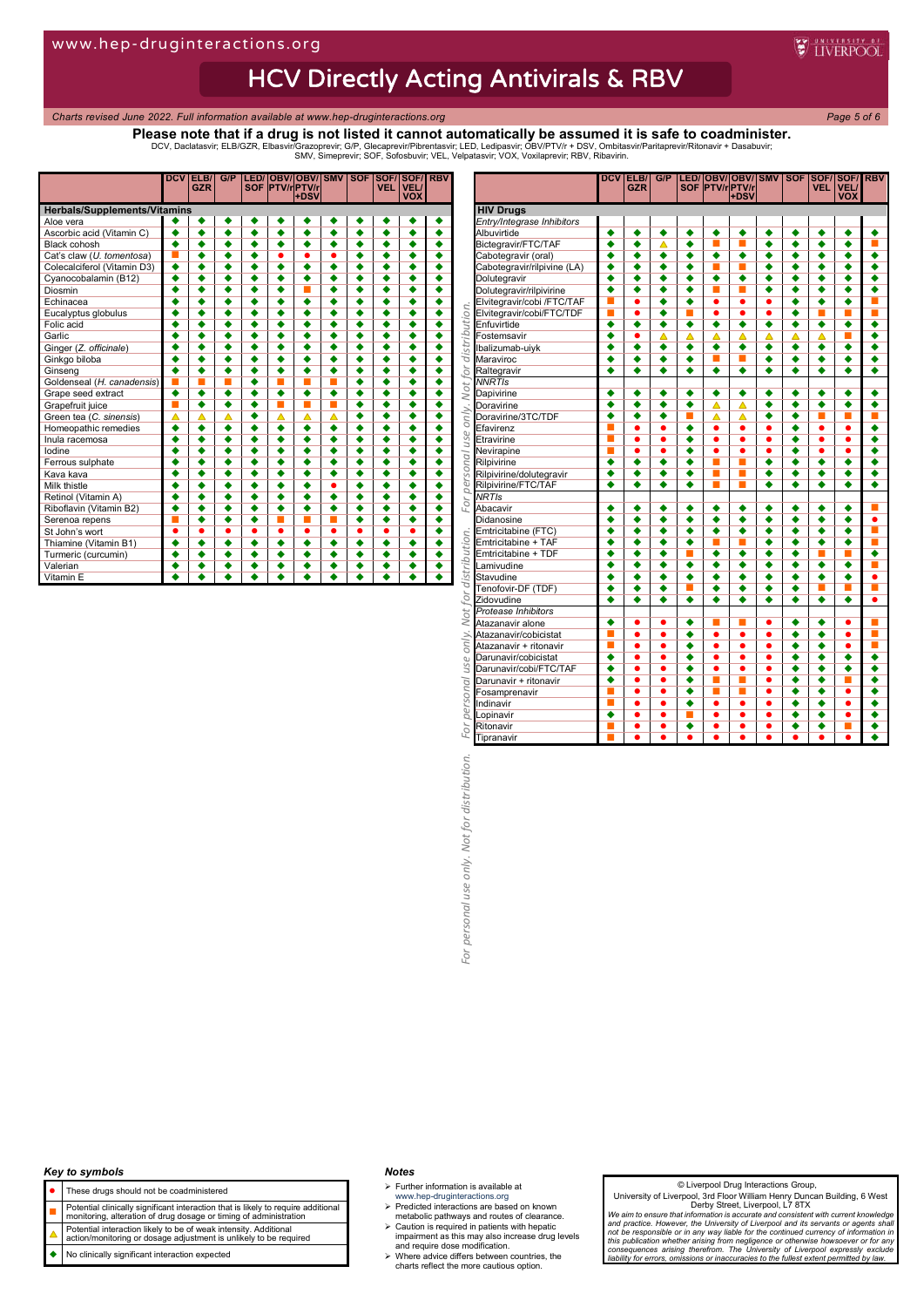## HCV Directly Acting Antivirals & RBV

*Charts revised June 2022. Full information available at www.hep-druginteractions.org Page 5 of 6*

## **Please note that if a drug is not listed it cannot automatically be assumed it is safe to coadminister.**

DCV, Daclatasvir; ELB/GZR, Elbasvir/Grazoprevir; G/P, Glecaprevir/Pibrentasvir; LED, Ledipasvir; OBV/PTV/r + DSV, Ombitasvir/Paritaprevir/Ritonavir + Dasabuvir;<br>SMV, Simeprevir; SOF, Sofosbuvir; VEL, Velpatasvir; VOX, Vox

|                                     | <b>DCV</b>           | ELB/<br><b>GZR</b>   | G/P                  |   |                      | LED/ OBV/ OBV/ SMV<br><b>SOF PTV/rPTV/r</b><br>+DSV |                      |                      | <b>VEL</b>           | <b>SOF SOF/SOF/</b><br><b>VEL/</b><br><b>VOX</b> | <b>RBV</b> |
|-------------------------------------|----------------------|----------------------|----------------------|---|----------------------|-----------------------------------------------------|----------------------|----------------------|----------------------|--------------------------------------------------|------------|
| <b>Herbals/Supplements/Vitamins</b> |                      |                      |                      |   |                      |                                                     |                      |                      |                      |                                                  |            |
| Aloe vera                           |                      |                      |                      |   |                      |                                                     |                      |                      |                      |                                                  |            |
| Ascorbic acid (Vitamin C)           |                      | ٠                    |                      |   |                      |                                                     |                      |                      |                      |                                                  |            |
| <b>Black cohosh</b>                 | ▲                    | ٠                    | ٠                    | ٠ | ٠                    | ٠                                                   | ٠                    | ٠                    | ٠                    | ٠                                                |            |
| Cat's claw (U. tomentosa)           |                      |                      | ٠                    |   |                      |                                                     | ۰                    |                      |                      | ٠                                                |            |
| Colecalciferol (Vitamin D3)         | $\overline{\bullet}$ |                      | $\overline{\bullet}$ |   | $\overline{\bullet}$ | $\overline{\bullet}$                                | $\overline{\bullet}$ | ٠                    | $\overline{\bullet}$ | $\overline{\bullet}$                             |            |
| Cyanocobalamin (B12)                |                      |                      | ٠                    |   | ٠                    | ٠                                                   |                      |                      |                      | ٠                                                |            |
| Diosmin                             |                      |                      | ۰                    |   |                      | п                                                   |                      |                      | ۰                    | ۰                                                |            |
| Echinacea                           |                      |                      | ٠                    |   | ٠                    | ٠                                                   |                      |                      | $\overline{\bullet}$ | ٠                                                |            |
| Eucalyptus globulus                 |                      |                      | $\overline{\bullet}$ |   |                      |                                                     |                      |                      | $\overline{\bullet}$ | $\overline{\bullet}$                             |            |
| Folic acid                          |                      |                      | ٠                    |   |                      | ۰                                                   |                      | ٠                    | ٠                    | ٠                                                |            |
| Garlic                              |                      |                      | ٠                    |   |                      | ٠                                                   |                      |                      |                      | ٠                                                |            |
| Ginger (Z. officinale)              |                      |                      |                      |   |                      |                                                     |                      |                      |                      |                                                  |            |
| Ginkgo biloba                       |                      |                      |                      |   |                      |                                                     |                      |                      |                      | ٠                                                |            |
| Ginseng                             |                      |                      |                      |   |                      |                                                     |                      |                      |                      |                                                  |            |
| Goldenseal (H. canadensis)          |                      |                      |                      |   |                      | ▬                                                   |                      |                      | ٠                    |                                                  |            |
| Grape seed extract                  | ٠                    | ٠                    | ٠                    |   | ٠                    | ٠                                                   | ▲                    |                      | ٠                    |                                                  |            |
| Grapefruit juice                    | ш                    | $\overline{\bullet}$ | ٠                    |   | ▄                    | ■                                                   |                      | ٠                    | ٠                    | ٠                                                |            |
| Green tea (C. sinensis)             | △                    | △                    | Δ                    | ٠ | Δ                    | Δ                                                   | △                    | ٠                    | ٠                    | ٠                                                |            |
| Homeopathic remedies                |                      |                      | ٠                    | ٠ | ٠                    | ٠                                                   | ٠                    | ٠                    | ٠                    | ٠                                                |            |
| Inula racemosa                      |                      |                      | $\overline{\bullet}$ | ٠ |                      | $\overline{\bullet}$                                |                      | ٠                    | $\overline{\bullet}$ | $\overline{\bullet}$                             |            |
| lodine                              |                      |                      | ٠                    |   |                      | ٠                                                   |                      | ٠                    | ٠                    | ٠                                                |            |
| Ferrous sulphate                    |                      |                      | ۰                    | ▲ |                      |                                                     | ٠                    |                      | ۰                    | ۰                                                |            |
| Kava kava                           |                      |                      |                      |   |                      |                                                     |                      |                      |                      |                                                  |            |
| Milk thistle                        |                      |                      |                      |   |                      |                                                     | ٠                    |                      | $\overline{\bullet}$ |                                                  |            |
| Retinol (Vitamin A)                 |                      |                      | ٠                    | ٠ |                      | $\overline{\bullet}$                                |                      | $\overline{\bullet}$ | $\overline{\bullet}$ | ٠                                                |            |
| Riboflavin (Vitamin B2)             |                      |                      |                      |   |                      | ٠                                                   |                      |                      |                      | ٠                                                |            |
| Serenoa repens                      |                      |                      |                      |   |                      |                                                     |                      |                      |                      |                                                  |            |
| St John's wort                      |                      | ●                    | ●                    | ٠ | ٠                    | ●                                                   | ٥                    | ٠                    | ٠                    | ●                                                |            |
| Thiamine (Vitamin B1)               |                      | ٠                    |                      | ٠ | ٠                    |                                                     | ▲                    | ٠                    | ▲                    |                                                  |            |
| Turmeric (curcumin)                 |                      | ▲                    |                      |   | ٠                    |                                                     | ▲                    | ٠                    | ٠                    |                                                  |            |
| Valerian                            |                      |                      |                      |   |                      |                                                     |                      |                      | ▲                    |                                                  |            |
| Vitamin E                           |                      |                      |                      |   |                      |                                                     |                      |                      |                      |                                                  |            |

|                                                                                                                                                                           | DCV                  | ELB/<br><b>GZR</b>                | G/P                               |                           |                                   | LED/ OBV/ OBV/ SMV<br> SOF PTV/r PTV/r <br>+DSV |                                   | SOF                       | <b>VEL</b>                | SOF/ SOF/ RBV<br><b>VEL/</b><br><b>VOX</b> |                             |
|---------------------------------------------------------------------------------------------------------------------------------------------------------------------------|----------------------|-----------------------------------|-----------------------------------|---------------------------|-----------------------------------|-------------------------------------------------|-----------------------------------|---------------------------|---------------------------|--------------------------------------------|-----------------------------|
| <b>HIV Drugs</b>                                                                                                                                                          |                      |                                   |                                   |                           |                                   |                                                 |                                   |                           |                           |                                            |                             |
| Entry/Integrase Inhibitors                                                                                                                                                |                      |                                   |                                   |                           |                                   |                                                 |                                   |                           |                           |                                            |                             |
| Albuvirtide                                                                                                                                                               | ٠                    | ٠                                 | ٠                                 | ٠                         | ٠                                 | ٠                                               | ٠                                 | ٠                         | ٠                         | ٠                                          | ٠                           |
| Bictegravir/FTC/TAF                                                                                                                                                       | ٠                    | ٠                                 | ▵                                 | ٠                         |                                   | П                                               | ٠                                 | ٠                         | ٠                         | ٠                                          | П                           |
| Cabotegravir (oral)                                                                                                                                                       | ٠                    | ٠                                 | ٠                                 | ٠                         | ٠                                 | ٠                                               | ٠                                 | ٠                         | ٠                         | ٠                                          | ٠                           |
| Cabotegravir/rilpivine (LA)                                                                                                                                               | ◆                    | ٠                                 | ٠                                 | ٠                         | п                                 | П                                               | ٠                                 | ٠                         | ٠                         | ٠                                          | ٠                           |
| Dolutegravir                                                                                                                                                              | ٠<br>٠               | ٠                                 | ٠<br>٠                            | ٠<br>٠                    | ٠                                 | ٠<br><b>III</b>                                 | ٠<br>٠                            | ٠                         | ٠                         | ٠<br>٠                                     | ٠<br>٠                      |
| Dolutegravir/rilpivirine<br>Elvitegravir/cobi /FTC/TAF                                                                                                                    |                      | ٠<br>$\bullet$                    | ٠                                 | ٠                         | П<br>$\bullet$                    | $\bullet$                                       | ٠                                 | ٠<br>٠                    | ٠<br>٠                    | ٠                                          |                             |
|                                                                                                                                                                           | ■                    | ٠                                 | $\overline{\bullet}$              | E                         | $\bullet$                         | ٠                                               | ٠                                 | $\overline{\bullet}$      | П                         | E.                                         |                             |
| Elvitegravir/cobi /FTC/TAF<br>Controls Entivative<br>Santwirtide<br>Enstemsavir<br>Contensavir<br>Contensavir<br>Contensavir<br>Contensavir<br>Contensavir<br>Contensavir | ٠                    | ٠                                 | ٠                                 | ٠                         | ٠                                 | ٠                                               | ٠                                 | ٠                         | ٠                         | ٠                                          | ٠                           |
|                                                                                                                                                                           | ٠                    | $\bullet$                         | Δ                                 | Δ                         | Δ                                 | Δ                                               | Δ                                 | Δ                         | Ä                         | п                                          | ٠                           |
|                                                                                                                                                                           | $\overline{\bullet}$ | ٠                                 | $\overline{\bullet}$              | $\overline{\bullet}$      | $\overline{\bullet}$              | ∙                                               | $\overline{\bullet}$              | ٠                         | ٠                         | $\overline{\bullet}$                       | $\overline{\bullet}$        |
|                                                                                                                                                                           | ٠                    | ٠                                 | ٠                                 | ٠                         | П                                 | É                                               | ٠                                 | ٠                         | ٠                         | ٠                                          | ٠                           |
| Raltegravir                                                                                                                                                               | ٠                    | ٠                                 | ٠                                 | ٠                         | ٠                                 | ٠                                               | ٠                                 | ٠                         | ٠                         | ٠                                          | ٠                           |
| <b>NNRTIs</b>                                                                                                                                                             |                      |                                   |                                   |                           |                                   |                                                 |                                   |                           |                           |                                            |                             |
| Dapivirine                                                                                                                                                                | ٠                    | ٠                                 | ٠                                 | ٠                         | ٠                                 | ٠                                               | ٠                                 | ٠                         | ٠                         | ٠                                          | ٠                           |
| Doravirine                                                                                                                                                                | ◆                    | ٠                                 | $\overline{\bullet}$              | $\overline{\bullet}$      | Δ                                 | Δ                                               | $\overline{\bullet}$              | ٠                         | ٠                         | ٠                                          | ٠                           |
| Doravirine/3TC/TDF                                                                                                                                                        | ٠                    | ٠                                 | ٠                                 |                           | Δ                                 | Δ                                               | ٠                                 | ٠                         | П                         | E                                          | п                           |
| Efavirenz                                                                                                                                                                 |                      | $\bullet$                         | $\bullet$                         | $\overline{\bullet}$      | $\bullet$                         | $\bullet$                                       | $\bullet$                         | ٠                         | $\bullet$                 | $\bullet$                                  | ٠                           |
| Etravirine                                                                                                                                                                |                      | ٠                                 | ٠                                 | ٠                         | $\bullet$                         | ٠                                               | ٠                                 | ٠                         | ٠                         | ٠                                          | ٠                           |
| Nevirapine                                                                                                                                                                | ▬                    | $\bullet$                         | $\bullet$                         | ٠                         | $\bullet$                         | ٠<br>П                                          | $\bullet$                         | ٠                         | $\bullet$                 | $\bullet$                                  | ٠                           |
| Rilpivirine                                                                                                                                                               | ٠                    | ٠                                 | ٠                                 | ٠                         | П<br>т                            | П                                               | ٠<br>$\overline{\bullet}$         | ٠                         | ٠                         | ٠                                          | ٠                           |
| Rilpivirine/dolutegravir                                                                                                                                                  | ٠<br>٠               | ٠<br>٠                            | ٠<br>٠                            | ٠<br>٠                    | П                                 |                                                 | ٠                                 | ٠<br>٠                    | ٠<br>٠                    | ٠<br>٠                                     | ٠<br>٠                      |
| Rilpivirine/FTC/TAF<br><b>NRTIs</b>                                                                                                                                       |                      |                                   |                                   |                           |                                   | ш                                               |                                   |                           |                           |                                            |                             |
| Abacavir                                                                                                                                                                  | ٠                    | ٠                                 | ٠                                 | ٠                         | ٠                                 | ٠                                               | ٠                                 | ٠                         | ٠                         | ٠                                          |                             |
| Didanosine                                                                                                                                                                | ٠                    | ٠                                 | ٠                                 | ٠                         | ٠                                 | ٠                                               | ٠                                 | ٠                         | ٠                         | ٠                                          | ٠                           |
| Emtricitabine (FTC)                                                                                                                                                       | ٠                    | ٠                                 | ٠                                 | ٠                         | ٠                                 | ٠                                               | ٠                                 | ٠                         | ٠                         | ٠                                          | п                           |
| Emtricitabine + TAF                                                                                                                                                       | $\overline{\bullet}$ | ٠                                 | $\overline{\bullet}$              | $\overline{\bullet}$      | П                                 | п                                               | $\overline{\bullet}$              | ٠                         | $\overline{\bullet}$      | $\overline{\bullet}$                       | т                           |
| Emtricitabine + TDF                                                                                                                                                       | ٠                    | ٠                                 | ٠                                 |                           | ٠                                 | ٠                                               | ٠                                 | ٠                         |                           |                                            | ٠                           |
| Lamivudine                                                                                                                                                                | ٠                    | ٠                                 | ٠                                 | ٠                         | ٠                                 | ٠                                               | ٠                                 | ٠                         | ٠                         | ٠                                          | Ľ                           |
| Stavudine                                                                                                                                                                 | ٠                    | ٠                                 | ٠                                 | ٠                         | ٠                                 | ٠                                               | ٠                                 | ٠                         | ٠                         | ٠                                          | ٠                           |
| Tenofovir-DF (TDF)                                                                                                                                                        | ٠                    | ٠                                 | $\overline{\bullet}$              | П                         | $\overline{\bullet}$              | $\overline{\bullet}$                            | $\overline{\bullet}$              | $\overline{\bullet}$      | $\mathbb{Z}$              | П                                          | T,                          |
| Zidovudine                                                                                                                                                                | $\overline{\bullet}$ | $\overline{\bullet}$              | $\overline{\bullet}$              | $\overline{\bullet}$      | $\overline{\bullet}$              | $\overline{\bullet}$                            | $\overline{\bullet}$              | $\overline{\bullet}$      | $\overline{\bullet}$      | $\overline{\bullet}$                       | $\bullet$                   |
| Protease Inhibitors                                                                                                                                                       |                      |                                   |                                   |                           |                                   |                                                 |                                   |                           |                           |                                            |                             |
| Atazanavir alone                                                                                                                                                          | ٠                    | ٠                                 | $\bullet$                         | $\overline{\bullet}$      |                                   | П                                               | $\bullet$                         | $\overline{\bullet}$      | ٠                         | ٠                                          |                             |
| Atazanavir/cobicistat                                                                                                                                                     | п                    | ٠                                 | ٠                                 | ٠                         | ٠                                 | ٠                                               | ٠                                 | ٠                         | ٠                         | ٠                                          | $\mathcal{L}_{\mathcal{A}}$ |
| Atazanavir + ritonavir                                                                                                                                                    |                      | ٠                                 | ٠                                 | ٠                         | $\bullet$                         | ٠                                               | ٠                                 | ٠                         | ٠                         | ٠                                          | п                           |
| Darunavir/cobicistat                                                                                                                                                      | ٠                    | $\bullet$<br>$\overline{\bullet}$ | $\bullet$<br>$\overline{\bullet}$ | ٠<br>$\overline{\bullet}$ | $\bullet$<br>$\overline{\bullet}$ | $\bullet$<br>$\overline{\bullet}$               | $\bullet$<br>$\overline{\bullet}$ | ٠<br>$\overline{\bullet}$ | ٠<br>$\overline{\bullet}$ | ٠<br>$\overline{\bullet}$                  | ٠<br>$\overline{\bullet}$   |
| Darunavir/cobi/FTC/TAF                                                                                                                                                    | ۶<br>٠               | $\bullet$                         | $\bullet$                         | ٠                         | Ξ                                 |                                                 | $\bullet$                         | ٠                         | ٠                         |                                            | ٠                           |
| Darunavir + ritonavir<br>Fosamprenavir                                                                                                                                    |                      | $\bullet$                         | $\bullet$                         | ٠                         | П                                 | Ц<br>▬                                          | ٠                                 | ٠                         | ٠                         | ٠                                          | ٠                           |
| Indinavir                                                                                                                                                                 |                      | ٠                                 | ٠                                 | ٠                         | ٠                                 | ٠                                               | ٠                                 | ٠                         | ٠                         | ٠                                          | ٠                           |
| Lopinavir                                                                                                                                                                 | ٠                    | $\bullet$                         | $\bullet$                         | П                         | $\bullet$                         | $\bullet$                                       | $\bullet$                         | ٠                         | ٠                         | $\bullet$                                  | ٠                           |
| Ritonavir                                                                                                                                                                 |                      | $\bullet$                         | $\bullet$                         | $\overline{\bullet}$      |                                   | $\overline{\bullet}$                            | $\overline{\bullet}$              | $\overline{\bullet}$      | $\overline{\bullet}$      | П                                          | $\overline{\bullet}$        |
| Tipranavir                                                                                                                                                                |                      |                                   |                                   | ۰                         |                                   | $\bullet$                                       |                                   |                           |                           |                                            | ٠                           |
|                                                                                                                                                                           |                      |                                   |                                   |                           |                                   |                                                 |                                   |                           |                           |                                            |                             |

personal use only. Not for distribution.

For

J.

#### *Key to symbols*

- These drugs should not be coadministered
- 
- **Potential clinically significant interaction that is likely to require additional**<br>monitoring, alteration of drug dosage or timing of administration
- Potential interaction likely to be of weak intensity. Additional action/monitoring or dosage adjustment is unlikely to be required
- No clinically significant interaction expected

#### *Notes*

- $\triangleright$  Further information is available at
- 
- www.hep-druginteractions.org Predicted interactions are based on known metabolic pathways and routes of clearance.
- Caution is required in patients with hepatic impairment as this may also increase drug levels and require dose modification. Where advice differs between countries, the charts reflect the more cautious option.
- 

#### © Liverpool Drug Interactions Group,

University of Liverpool, 3rd Floor William Henry Duncan Building, 6 West<br>We aim to ensure that information is accurate and consistent with current knowledge<br>and practice. However, the University of Liverpool and the sevant

**WEINERPOOL**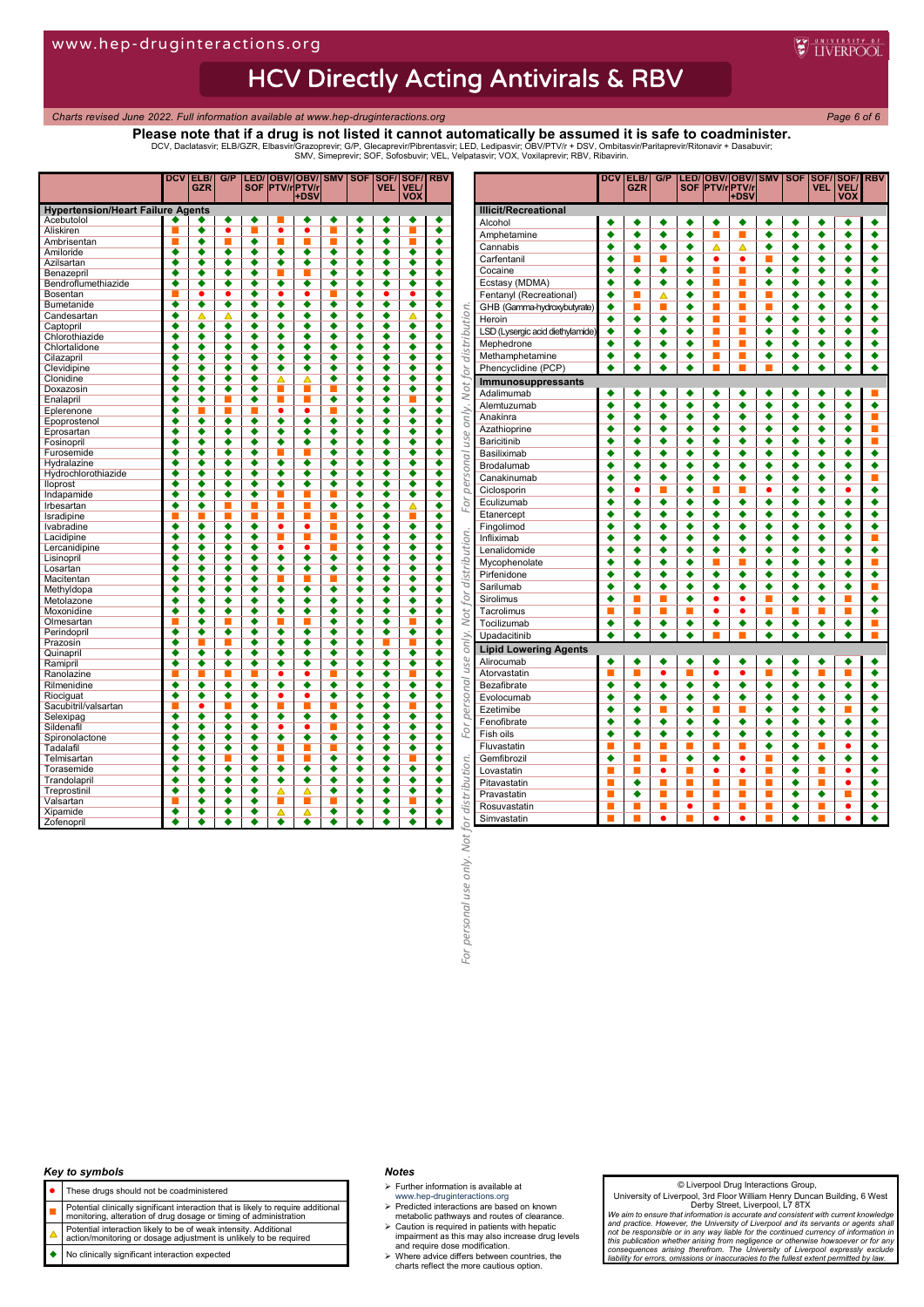# **HCV Directly Acting Antivirals & RBV**

*Charts revised June 2022. Full information available at www.hep-druginteractions.org Page 6 of 6*

**WEINERPOOL** 

**Please note that if a drug is not listed it cannot automatically be assumed it is safe to coadminister.** DCV, Daclatasvir; ELB/GZR, Elbasvir/Grazoprevir; G/P, Glecaprevir/Pibrentasvir; LED, Ledipasvir; OBV/PTV/r + DSV, Ombitasvir/Paritaprevir/Ritonavir + Dasabuvir;<br>SMV, Simeprevir; SOF, Sofosbuvir; VEL, Velpatasvir; VOX, Vox

|                                          | <b>DCV</b>           | ELB/                 | G/P                  |                      |                      | LED/OBV/OBV/           | <b>SMV</b>           | <b>SOF</b>           | SOF/                 | SOF/                 | <b>RBV</b>           |
|------------------------------------------|----------------------|----------------------|----------------------|----------------------|----------------------|------------------------|----------------------|----------------------|----------------------|----------------------|----------------------|
|                                          |                      | <b>GZR</b>           |                      |                      |                      | SOF PTV/rPTV/r<br>+DSV |                      |                      | <b>VEL</b>           | <b>VEL/</b><br>vox   |                      |
| <b>Hypertension/Heart Failure Agents</b> |                      |                      |                      |                      |                      |                        |                      |                      |                      |                      |                      |
| Acebutolol                               |                      |                      | ٠                    | ٠                    | ▬                    | ٠                      | ٠                    | ٠                    | ٠                    | ٠                    |                      |
| Aliskiren                                |                      | ٠                    | ٠                    |                      | ٠                    | ٠                      |                      | ٠                    | ٠                    |                      | ٠                    |
| Ambrisentan                              |                      | ٠                    | ۳                    | ٠                    | ۰                    | П                      |                      | ٠                    | ∙                    |                      | ٠                    |
| Amiloride                                | $\overline{\bullet}$ | $\overline{\bullet}$ | ٠                    | $\overline{\bullet}$ | $\overline{\bullet}$ | $\overline{\bullet}$   | ٠                    | ٠                    | $\overline{\bullet}$ | ٠                    | $\overline{\bullet}$ |
| Azilsartan                               | $\overline{\bullet}$ | ٠                    | $\overline{\bullet}$ | ٠                    | $\overline{\bullet}$ | $\overline{\bullet}$   | $\overline{\bullet}$ | ٠                    | $\overline{\bullet}$ | $\overline{\bullet}$ | $\overline{\bullet}$ |
| Benazepril                               | $\overline{\bullet}$ | $\overline{\bullet}$ | $\overline{\bullet}$ | $\overline{\bullet}$ |                      |                        | $\overline{\bullet}$ | $\overline{\bullet}$ | $\overline{\bullet}$ | $\overline{\bullet}$ | $\overline{\bullet}$ |
| Bendroflumethiazide                      | $\overline{\bullet}$ | $\overline{\bullet}$ | $\overline{\bullet}$ | $\overline{\bullet}$ | ٠                    | $\overline{\bullet}$   | $\overline{\bullet}$ | ٠                    | $\overline{\bullet}$ | ٠                    | $\overline{\bullet}$ |
| <b>Bosentan</b>                          |                      | $\overline{\bullet}$ | ō                    | ∙                    | ō                    | ō                      |                      | $\overline{\bullet}$ | ٠                    | ٠                    |                      |
| Bumetanide                               | ٠                    | $\overline{\bullet}$ | $\overline{\bullet}$ | ٠                    | $\overline{\bullet}$ | $\overline{\bullet}$   | ٠                    | ٠                    | $\overline{\bullet}$ | ٠                    | ٠                    |
| Candesartan                              | $\overline{\bullet}$ | ∧                    | Δ                    | ٠                    | ٠                    | $\overline{\bullet}$   | ٠                    | ٠                    | $\overline{\bullet}$ | Λ                    | $\overline{\bullet}$ |
| Captopril                                | $\overline{\bullet}$ | $\overline{\bullet}$ | $\overline{\bullet}$ | $\overline{\bullet}$ | $\overline{\bullet}$ | $\overline{\bullet}$   | $\overline{\bullet}$ | $\overline{\bullet}$ | $\overline{\bullet}$ | $\overline{\bullet}$ | $\overline{\bullet}$ |
| Chlorothiazide                           | ٠                    |                      | ٠                    | ٠                    | ٠                    | ٠                      |                      | ٠                    |                      | ٠                    |                      |
| Chlortalidone                            | ٠                    |                      | ٥                    | ٠                    | ٠                    | ٠                      | ٠                    | ۰                    | ▲                    |                      |                      |
| Cilazapril                               | $\overline{\bullet}$ |                      | ٠                    | $\overline{\bullet}$ | ٠                    | $\overline{\bullet}$   | ∙                    | $\overline{\bullet}$ | $\overline{\bullet}$ | ٠                    | $\overline{\bullet}$ |
| Clevidipine                              | $\overline{\bullet}$ | ٠                    | ٠                    | ٠                    | ٠                    | ٠                      | ٠                    | ٠                    | ٠                    | ٠                    | ٠                    |
| Clonidine                                | $\overline{\bullet}$ | $\overline{\bullet}$ | $\overline{\bullet}$ | $\overline{\bullet}$ | Δ                    | Δ                      | $\overline{\bullet}$ | $\overline{\bullet}$ | $\overline{\bullet}$ | $\overline{\bullet}$ | $\overline{\bullet}$ |
| Doxazosin                                | ٠                    |                      | ٠                    | ٠                    |                      |                        |                      | ٠                    |                      | ٠                    | ٠                    |
| Enalapril                                | ٠                    | ٠                    |                      | ٠                    | π                    | п                      | ٠                    | ٠                    |                      |                      |                      |
| Eplerenone                               | ٠                    |                      |                      |                      | ٠                    | ٠                      |                      | ٠                    | ٠                    | ٠                    | ٠                    |
| Epoprostenol                             | $\overline{\bullet}$ | $\overline{\bullet}$ | $\overline{\bullet}$ | $\overline{\bullet}$ | $\overline{\bullet}$ | $\overline{\bullet}$   | $\overline{\bullet}$ | $\overline{\bullet}$ | $\overline{\bullet}$ | $\overline{\bullet}$ | $\overline{\bullet}$ |
| Eprosartan                               | ٠                    | ٠                    | ٠                    | ٠                    | ٠                    | ٠                      | ٠                    | ٠                    | ٠                    | ٠                    | ٠                    |
| Fosinopril                               | ٠                    | ٠                    | ٠                    | ٠                    | ٠                    | $\overline{\bullet}$   | ٠                    | ٠                    | ٠                    | ٠                    | ٠                    |
| Furosemide                               | $\overline{\bullet}$ |                      |                      | ō                    |                      |                        |                      | $\overline{\bullet}$ | $\overline{\bullet}$ |                      |                      |
| Hydralazine                              | ٠                    | ٠                    | ٠                    | ٠                    | ٠                    | ٠                      | ٠                    | ٠                    | $\overline{\bullet}$ | ٠                    | ٠                    |
| Hydrochlorothiazide                      | $\overline{\bullet}$ | ٠                    | ٠                    | ٠                    | $\overline{\bullet}$ | $\overline{\bullet}$   | ٠                    | ٠                    | $\overline{\bullet}$ | ٠                    | $\overline{\bullet}$ |
| lloprost                                 | $\overline{\bullet}$ | $\overline{\bullet}$ | $\overline{\bullet}$ | $\overline{\bullet}$ | $\overline{\bullet}$ | $\overline{\bullet}$   | $\overline{\bullet}$ | $\overline{\bullet}$ | $\overline{\bullet}$ | $\overline{\bullet}$ | $\overline{\bullet}$ |
| Indapamide                               | ٠                    | ٠                    | ٠                    | ٠                    |                      |                        |                      | ٠                    |                      | ٠                    |                      |
| Irbesartan                               | $\overline{\bullet}$ | $\overline{\bullet}$ |                      |                      | ▬                    |                        | $\overline{\bullet}$ | $\overline{\bullet}$ | $\overline{\bullet}$ | Δ                    | $\overline{\bullet}$ |
| Isradipine                               |                      |                      |                      |                      |                      |                        |                      | ٠                    | ٠                    |                      | ٠                    |
| Ivabradine                               | $\overline{\bullet}$ | ٠                    | ٠                    | ٠                    | $\bullet$            | ٠                      | ш                    | ٠                    | ٠                    | ٠                    | ٠                    |
| Lacidipine                               | $\overline{\bullet}$ | $\overline{\bullet}$ | $\overline{\bullet}$ | $\overline{\bullet}$ | п                    | П                      | П                    | $\overline{\bullet}$ | $\overline{\bullet}$ | $\overline{\bullet}$ | $\overline{\bullet}$ |
| Lercanidipine                            | ٠                    |                      | ٠                    | ٠                    |                      |                        |                      | ٠                    |                      | ٠                    |                      |
| Lisinopril                               | ٠                    |                      | ۰                    | ٠                    | $\overline{\bullet}$ | $\overline{\bullet}$   | ٠                    | ۰                    |                      |                      |                      |
| Losartan                                 | ٠                    | ٠                    | ٠                    | ٠                    | ٠                    | ٠                      | ٠                    | ٠                    | ٠                    | ٠                    | ٠                    |
| Macitentan                               | $\overline{\bullet}$ |                      |                      | O                    |                      |                        |                      |                      | ₹                    | $\overline{\bullet}$ | $\overline{\bullet}$ |
| Methyldopa                               | $\overline{\bullet}$ | $\overline{\bullet}$ | ◆                    | $\overline{\bullet}$ | $\overline{\bullet}$ | $\overline{\bullet}$   | $\overline{\bullet}$ | $\overline{\bullet}$ | $\overline{\bullet}$ | $\overline{\bullet}$ | $\overline{\bullet}$ |
| Metolazone                               | ٠                    |                      | ٠                    | ٠                    | ٠                    | ٠                      | ٠                    | ٠                    | ٠                    | ٠                    | ٠                    |
| Moxonidine                               | ٠                    |                      | ٠                    | ٠                    |                      | ٠                      |                      | ٠                    |                      |                      |                      |
| Olmesartan                               |                      | ٠                    |                      | ٠                    |                      |                        | ٠                    | ٠                    | ٠                    |                      | ٠                    |
| Perindopril                              | $\overline{\bullet}$ | $\overline{\bullet}$ | ٠                    | $\overline{\bullet}$ | ٠                    | ٠                      | ٠                    | $\overline{\bullet}$ | $\overline{\bullet}$ | ٠                    | $\overline{\bullet}$ |
| Prazosin                                 | $\overline{\bullet}$ |                      |                      | $\overline{\bullet}$ | $\overline{\bullet}$ | $\overline{\bullet}$   | $\overline{\bullet}$ | $\overline{\bullet}$ |                      |                      | $\overline{\bullet}$ |
| Quinapril                                | ٠                    | ٠                    | ٠                    | ٠                    | ٠                    | ٠                      | ٠                    | ٠                    | ▲                    | ٠                    |                      |
| Ramipril                                 | $\overline{\bullet}$ | $\overline{\bullet}$ | $\overline{\bullet}$ | $\overline{\bullet}$ | $\overline{\bullet}$ | $\overline{\bullet}$   | $\overline{\bullet}$ | $\overline{\bullet}$ | $\overline{\bullet}$ |                      | $\overline{\bullet}$ |
| Ranolazine                               |                      |                      |                      |                      | ۰                    | $\bullet$              |                      | ٠                    | $\overline{\bullet}$ |                      | ٠                    |
| Rilmenidine                              | $\overline{\bullet}$ | ٠                    | ٠                    | ٠                    | $\overline{\bullet}$ | $\overline{\bullet}$   | ٠                    | $\overline{\bullet}$ | ٠                    | ٠                    | $\overline{\bullet}$ |
| Riociguat                                | $\overline{\bullet}$ | $\overline{\bullet}$ | $\overline{\bullet}$ | $\overline{\bullet}$ | ٠                    | ٠                      | $\overline{\bullet}$ | $\overline{\bullet}$ | $\overline{\bullet}$ | $\overline{\bullet}$ | $\overline{\bullet}$ |
| Sacubitril/valsartan                     |                      | ●                    |                      | ٠                    |                      |                        |                      | ٠                    |                      |                      |                      |
| Selexipag                                | $\overline{\bullet}$ | $\overline{\bullet}$ | ٠                    | ٠                    | ٠                    | ٠                      | ٠                    | ۰                    | ٠                    | ٠                    |                      |
| Sildenafil                               | ٠                    | ٠                    | ٠                    | ٠                    | $\bullet$            | $\bullet$              | D                    | ٠                    | ٠                    | ٠                    | ٠                    |
| Spironolactone                           | ٠                    | ٠                    | ٠                    | ٠                    | $\overline{\bullet}$ | ٠                      | ٠                    | ٠                    | ٠                    | ٠                    | ٠                    |
| Tadalafil                                | $\overline{\bullet}$ | $\overline{\bullet}$ | $\overline{\bullet}$ | $\overline{\bullet}$ |                      | г                      |                      | $\overline{\bullet}$ | $\overline{\bullet}$ | $\overline{\bullet}$ | $\overline{\bullet}$ |
| Telmisartan                              | ٠                    |                      |                      | ٠                    |                      |                        | ٠                    | ٠                    | ٠                    |                      |                      |
| Torasemide                               | ٠                    |                      | ٠                    | ٠                    | ٠                    | ٠                      | ٠                    | ٠                    |                      | ٠                    |                      |
| Trandolapril                             | ٠                    | ٠                    | ٠                    | ٠                    | ٠                    | ٠                      | ٠                    | ٠                    | ٠                    | ٠                    | ٠                    |
| Treprostinil                             | ٠                    | ▲                    |                      | ◀                    | Δ                    | Δ                      | ٠                    | ٠                    | ◀                    | ٠                    | ٠                    |
| Valsartan                                |                      | $\overline{\bullet}$ | $\overline{\bullet}$ | $\overline{\bullet}$ |                      |                        |                      |                      | $\overline{\bullet}$ |                      | $\overline{\bullet}$ |
| Xipamide                                 | $\overline{\bullet}$ | $\overline{\bullet}$ | ٠                    | $\overline{\bullet}$ | ▵                    | Δ                      | ٠                    | ٠                    | $\overline{\bullet}$ | ٠                    | $\overline{\bullet}$ |
| Zofenopril                               |                      |                      |                      |                      |                      |                        |                      |                      |                      |                      |                      |

|                                          |                                  | <b>DCV</b>           | ELB/<br><b>GZR</b>   | G/P                  |                      |                      | LED/ OBV/ OBV/ SMV<br> SOF  PTV/r PTV/r<br> +DSV |                      | <b>SOF</b>           | SOF/<br>VEL          | SOF/<br>VEL/<br><b>VOX</b> | <b>RBV</b>                  |
|------------------------------------------|----------------------------------|----------------------|----------------------|----------------------|----------------------|----------------------|--------------------------------------------------|----------------------|----------------------|----------------------|----------------------------|-----------------------------|
|                                          | <b>Illicit/Recreational</b>      |                      |                      |                      |                      |                      |                                                  |                      |                      |                      |                            |                             |
|                                          | Alcohol                          | ٠                    | ٠                    | ٠                    | ٠                    | ٠                    | ٠                                                | ٠                    | ٠                    | ٠                    | ٠                          | ٠                           |
|                                          | Amphetamine                      | ٠                    | $\overline{\bullet}$ | $\overline{\bullet}$ | $\overline{\bullet}$ | п                    | п                                                | $\overline{\bullet}$ | $\overline{\bullet}$ | $\overline{\bullet}$ | $\overline{\bullet}$       | $\overline{\bullet}$        |
|                                          | Cannabis                         | ٠                    | ٠                    | ٠                    | ٠                    | Δ                    | Δ                                                | ٠                    | ٠                    | ٠                    | ٠                          | ٠                           |
|                                          | Carfentanil                      | ٠                    | <b>III</b>           | <b>III</b>           | ٠                    | ٠                    | ٠                                                | $\blacksquare$       | ٠                    | ٠                    | ٠                          | ٠                           |
|                                          | Cocaine                          | ٠                    | ٠                    | ٠                    | ٠                    | п                    |                                                  | ٠                    | ٠                    | ٠                    | ٠                          | ٠                           |
|                                          | Ecstasy (MDMA)                   | ٠                    | ٠                    | ٠                    | ٠                    | E                    | П                                                | ∙                    | ٠                    | ٠                    | ٠                          | ٠                           |
|                                          | Fentanyl (Recreational)          | ٠                    | ш                    | Δ                    | ٠                    | L.                   | ш                                                | Π                    | ٠                    | ٠                    | ٠                          | ٠                           |
|                                          | GHB (Gamma-hydroxybutyrate)      | ٠                    | П                    | П                    | ٠                    | п                    | П                                                | п                    | ٠                    | ٠                    | ٠                          | ٠                           |
|                                          | Heroin                           | ٠                    | ٠                    | ٠                    | ٠                    | E                    | L.                                               | ٠                    | ٠                    | ٠                    | ٠                          | ٠                           |
| only. Not for distribution.              | LSD (Lysergic acid diethylamide) | ٠                    | ٠                    | ٠                    | ٠                    |                      | E                                                | ٠                    | ٠                    | ٠                    | ٠                          | ٠                           |
|                                          | Mephedrone                       | ٠                    | ٠                    | ٠                    | ٠                    | ņ<br>П               | П                                                | ٠                    | ٠                    | ٠                    | ٠                          | ٠                           |
|                                          |                                  | ٠                    | ٠                    | ٠                    | ٠                    | п                    | П                                                | ٠                    | ٠                    | ٠                    | ٠                          | ٠                           |
|                                          | Methamphetamine                  |                      |                      |                      |                      | т                    |                                                  |                      |                      |                      |                            |                             |
|                                          | Phencyclidine (PCP)              | ٠                    | ٠                    | ٠                    | ٠                    |                      | п                                                |                      | ٠                    | ٠                    | ٠                          | ٠                           |
|                                          | Immunosuppressants               |                      |                      |                      |                      |                      |                                                  |                      |                      |                      |                            |                             |
|                                          | Adalimumab                       |                      | ٠                    | ٠                    | ٠                    | ٠                    | ٠                                                | ٠                    | ٠                    | ٠                    | ٠                          | ш                           |
|                                          | Alemtuzumab                      | ٠                    | ٠                    | ٠                    | ٠                    | ٠                    | ٠                                                | ٠                    | ٠                    | ٠                    | ٠                          | ٠                           |
|                                          | Anakinra                         | ٠                    | ٠                    | ٠                    | ٠                    | ٠                    | ٠                                                | ٠                    | ٠                    | ٠                    | ٠                          | п                           |
|                                          | Azathioprine                     | ٠                    | ٠                    | ٠                    | ٠                    | ٠                    | ٠                                                | ٠                    | ٠                    | ٠                    | ٠                          | п                           |
| use                                      | <b>Baricitinib</b>               | ٠                    | ٠                    | ٠                    | ٠                    | ٠                    | ٠                                                | ٠                    | ٠                    | ٠                    | ٠                          | п                           |
|                                          | Basiliximab                      | ٠                    | ٠                    | ٠                    | ٠                    | ٠                    | ٠                                                | ٠                    | ٠                    | ٠                    | ٠                          | ٠                           |
| personal                                 | Brodalumab                       | ٠                    | ٠                    | ٠                    | ٠                    | ٠                    | ٠                                                | ٠                    | ٠                    | ٠                    | ٠                          | ٠                           |
|                                          | Canakinumab                      | ٠                    | ٠                    | ٠                    | ٠                    | ٠                    | ٠                                                | ٠                    | ٠                    | ٠                    | ٠                          | п                           |
|                                          | Ciclosporin                      | ٠                    | $\bullet$            |                      | ٠                    |                      |                                                  | $\bullet$            | ٠                    | ٠                    | $\bullet$                  | ٠                           |
| For                                      | Eculizumab                       | ٠                    | ٠                    | ٠                    | ٠                    | ٠                    | ٠                                                | ٠                    | ٠                    | ٠                    | ٠                          | ٠                           |
|                                          | Etanercept                       | ٠                    | ٠                    | ٠                    | ٠                    | ٠                    | ٠                                                | ٠                    | ٠                    | ٠                    | ٠                          | ٠                           |
|                                          | Fingolimod                       | ٠                    | ٠                    | ٠                    | ٠                    | ٠                    | ٠                                                | ٠                    | ٠                    | ٠                    | ٠                          | ٠                           |
|                                          | Infliximab                       | ٠                    | ٠                    | ٠                    | ٠                    | ٠                    | ٠                                                | ٠                    | ٠                    | ٠                    | ٠                          | <b>C</b>                    |
|                                          | Lenalidomide                     | ٠                    | ٠                    | ٠                    | ٠                    | ٠                    | ٠                                                | ٠                    | ٠                    | ٠                    | ٠                          | ٠                           |
|                                          | Mycophenolate                    | ٠                    | ٠                    | $\overline{\bullet}$ | $\overline{\bullet}$ | п                    | п                                                | $\overline{\bullet}$ | $\overline{\bullet}$ | ٠                    | ٠                          | П                           |
| Not for distribution.                    | Pirfenidone                      | ٠                    | ٠                    | ٠                    | ٠                    | ٠                    | ٠                                                | ٠                    | ٠                    | ٠                    | ٠                          | ٠                           |
|                                          | Sarilumab                        | ٠                    | ٠                    | ٠                    | ٠                    | ٠                    | ٠                                                | ٠                    | ٠                    | ٠                    | ٠                          | п                           |
|                                          | Sirolimus                        | ٠                    | п                    | п                    |                      | $\bullet$            | $\bullet$                                        | п                    | ٠                    |                      | ٠                          | ٠                           |
|                                          |                                  |                      | П                    | П                    | ٠                    | $\bullet$            | $\bullet$                                        | П                    | П                    | ٠<br>П               | п                          | ٠                           |
|                                          | Tacrolimus                       | П                    |                      |                      |                      |                      |                                                  |                      |                      |                      |                            |                             |
|                                          | Tocilizumab                      | ٠                    | ٠                    | ٠                    | ٠                    | ٠                    | ٠                                                | ٠                    | ٠                    | ٠                    | ٠                          | $\mathcal{L}_{\mathcal{A}}$ |
| only.                                    | Upadacitinib                     | ٠                    | ٠                    | ٠                    | ٠                    | п                    | п                                                | ٠                    | ٠                    | ٠                    | ٠                          | п                           |
|                                          | <b>Lipid Lowering Agents</b>     |                      |                      |                      |                      |                      |                                                  |                      |                      |                      |                            |                             |
| use                                      | Alirocumab                       | ٠                    | ٠                    | ٠                    | ٠                    | ٠                    | ٠                                                | ٠                    | ٠                    | ٠                    | ٠                          | ٠                           |
|                                          | Atorvastatin                     | п                    | П                    | $\overline{\bullet}$ | п                    | $\overline{\bullet}$ | $\overline{\bullet}$                             | п                    | ٠                    | п                    | п                          | ٠                           |
|                                          | Bezafibrate                      | ٠                    | ٠                    | $\overline{\bullet}$ | ٠                    | $\overline{\bullet}$ | ٠                                                | ٠                    | ٠                    | ٠                    | ٠                          | ٠                           |
|                                          | Evolocumab                       | ٠                    | ٠                    | ٠                    | ٠                    | ٠                    | ٠                                                | ٠                    | ٠                    | ٠                    | ٠                          | ٠                           |
| personal                                 | Ezetimibe                        | ٠                    | ٠                    | П                    | ٠                    | п                    | п                                                | ٠                    | ٠                    | ٠                    | п                          | ٠                           |
|                                          | Fenofibrate                      | ٠                    | ٠                    | ٠                    | ٠                    | ٠                    | ٠                                                | ٠                    | ٠                    | ٠                    | ٠                          | ٠                           |
| For                                      | Fish oils                        | ٠                    | $\overline{\bullet}$ | $\overline{\bullet}$ | $\overline{\bullet}$ | ٠                    | ٠                                                | ٠                    | ٠                    | ٠                    | ٠                          | $\overline{\bullet}$        |
|                                          | Fluvastatin                      | п                    | П                    | П                    | п                    | п                    | п                                                | ٠                    | ٠                    | п                    | $\bullet$                  | ٠                           |
|                                          | Gemfibrozil                      | $\overline{\bullet}$ | П                    | п                    | $\overline{\bullet}$ | $\overline{\bullet}$ | $\bullet$                                        | П                    | $\overline{\bullet}$ | ٠                    | $\overline{\bullet}$       | $\overline{\bullet}$        |
|                                          | Lovastatin                       | E                    | <b>I</b>             | $\bullet$            | Π                    | $\bullet$            | $\bullet$                                        | Π                    | ٠                    |                      | ٠                          | ٠                           |
|                                          | Pitavastatin                     | П                    | ٠                    | П                    | п                    | п                    | п                                                | E                    | ٠                    | п                    | ٠                          | ٠                           |
|                                          | Pravastatin                      | п                    | ٠                    | П                    | п                    | E                    | П                                                | E                    | ٠                    | ٠                    | п                          | ٠                           |
|                                          | Rosuvastatin                     | L.                   | E                    | E                    | $\bullet$            | ú                    | E                                                | П                    | ٠                    | L.                   | $\bullet$                  | ٠                           |
|                                          | Simvastatin                      | ш                    | п                    | $\bullet$            | п                    | $\bullet$            | $\bullet$                                        | п                    | ٠                    | п                    | $\bullet$                  | ٠                           |
|                                          |                                  |                      |                      |                      |                      |                      |                                                  |                      |                      |                      |                            |                             |
|                                          |                                  |                      |                      |                      |                      |                      |                                                  |                      |                      |                      |                            |                             |
|                                          |                                  |                      |                      |                      |                      |                      |                                                  |                      |                      |                      |                            |                             |
|                                          |                                  |                      |                      |                      |                      |                      |                                                  |                      |                      |                      |                            |                             |
|                                          |                                  |                      |                      |                      |                      |                      |                                                  |                      |                      |                      |                            |                             |
|                                          |                                  |                      |                      |                      |                      |                      |                                                  |                      |                      |                      |                            |                             |
|                                          |                                  |                      |                      |                      |                      |                      |                                                  |                      |                      |                      |                            |                             |
|                                          |                                  |                      |                      |                      |                      |                      |                                                  |                      |                      |                      |                            |                             |
|                                          |                                  |                      |                      |                      |                      |                      |                                                  |                      |                      |                      |                            |                             |
| personal use only. Not for distribution. |                                  |                      |                      |                      |                      |                      |                                                  |                      |                      |                      |                            |                             |
|                                          |                                  |                      |                      |                      |                      |                      |                                                  |                      |                      |                      |                            |                             |
| For                                      |                                  |                      |                      |                      |                      |                      |                                                  |                      |                      |                      |                            |                             |
|                                          |                                  |                      |                      |                      |                      |                      |                                                  |                      |                      |                      |                            |                             |

#### *Key to symbols*

- These drugs should not be coadministered
- 
- **Potential clinically significant interaction that is likely to require additional**<br>monitoring, alteration of drug dosage or timing of administration
- Potential interaction likely to be of weak intensity. Additional action/monitoring or dosage adjustment is unlikely to be required
- No clinically significant interaction expected

#### *Notes*

 $\triangleright$  Further information is available at

- 
- www.hep-druginteractions.org Predicted interactions are based on known metabolic pathways and routes of clearance.
- Caution is required in patients with hepatic impairment as this may also increase drug levels and require dose modification. Where advice differs between countries, the charts reflect the more cautious option.
- 

#### © Liverpool Drug Interactions Group,